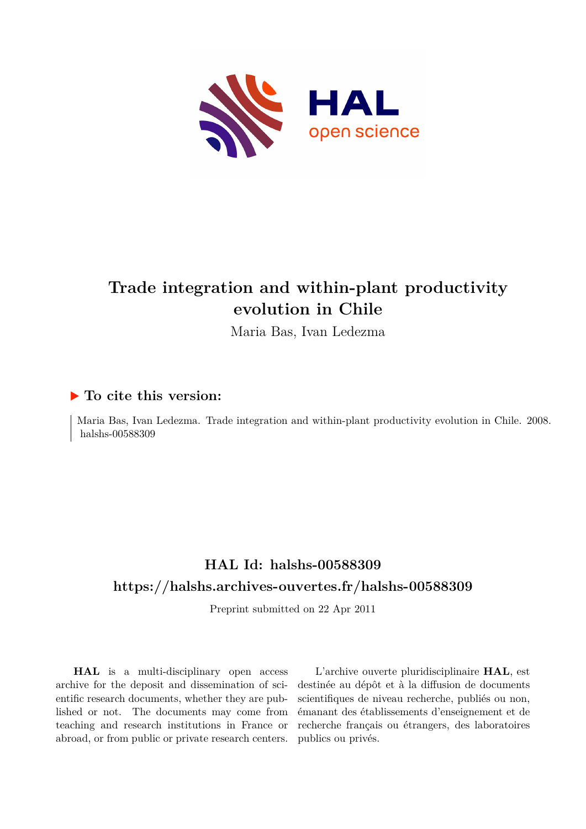

# **Trade integration and within-plant productivity evolution in Chile**

Maria Bas, Ivan Ledezma

### **To cite this version:**

Maria Bas, Ivan Ledezma. Trade integration and within-plant productivity evolution in Chile. 2008. halshs-00588309

# **HAL Id: halshs-00588309 <https://halshs.archives-ouvertes.fr/halshs-00588309>**

Preprint submitted on 22 Apr 2011

**HAL** is a multi-disciplinary open access archive for the deposit and dissemination of scientific research documents, whether they are published or not. The documents may come from teaching and research institutions in France or abroad, or from public or private research centers.

L'archive ouverte pluridisciplinaire **HAL**, est destinée au dépôt et à la diffusion de documents scientifiques de niveau recherche, publiés ou non, émanant des établissements d'enseignement et de recherche français ou étrangers, des laboratoires publics ou privés.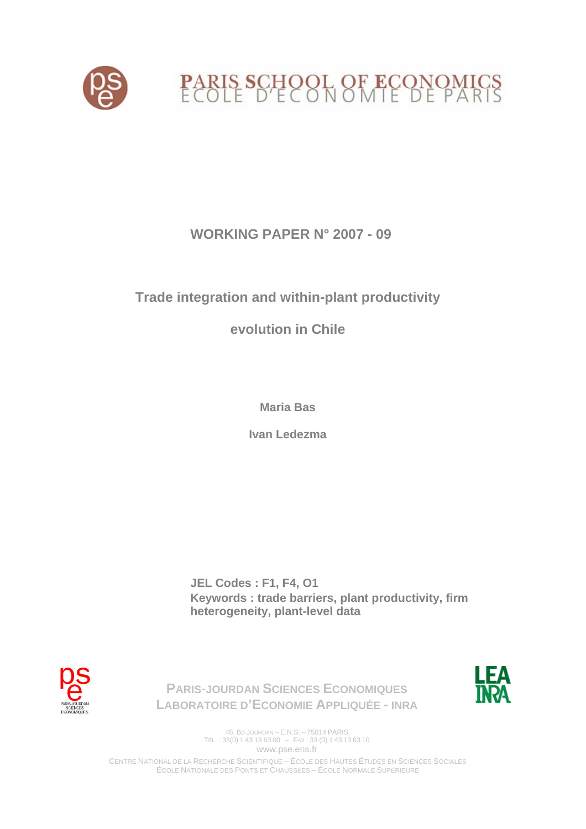

# **WORKING PAPER N° 2007 - 09**

# **Trade integration and within-plant productivity**

# **evolution in Chile**

**Maria Bas** 

**Ivan Ledezma** 

**JEL Codes : F1, F4, O1 Keywords : trade barriers, plant productivity, firm heterogeneity, plant-level data** 





**LABORATOIRE D'ECONOMIE APPLIQUÉE - INRA**

**PARIS**-**JOURDAN SCIENCES ECONOMIQUES**

48, BD JOURDAN – E.N.S. – 75014 PARIS TÉL. : 33(0) 1 43 13 63 00 – FAX : 33 (0) 1 43 13 63 10 www.pse.ens.fr

CENTRE NATIONAL DE LA RECHERCHE SCIENTIFIQUE – ÉCOLE DES HAUTES ÉTUDES EN SCIENCES SOCIALES ÉCOLE NATIONALE DES PONTS ET CHAUSSÉES – ÉCOLE NORMALE SUPÉRIEURE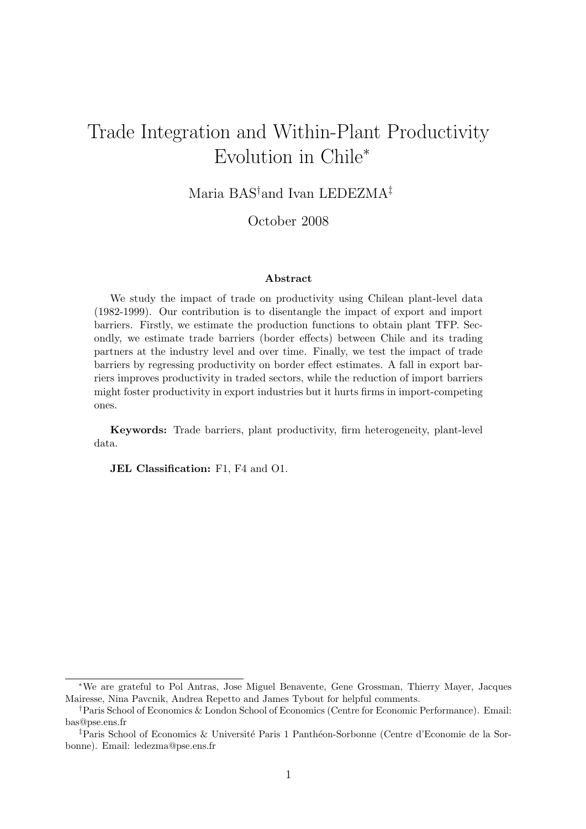# Trade Integration and Within-Plant Productivity Evolution in Chile<sup>∗</sup>

Maria BAS†and Ivan LEDEZMA‡

October 2008

#### Abstract

We study the impact of trade on productivity using Chilean plant-level data (1982-1999). Our contribution is to disentangle the impact of export and import barriers. Firstly, we estimate the production functions to obtain plant TFP. Secondly, we estimate trade barriers (border effects) between Chile and its trading partners at the industry level and over time. Finally, we test the impact of trade barriers by regressing productivity on border effect estimates. A fall in export barriers improves productivity in traded sectors, while the reduction of import barriers might foster productivity in export industries but it hurts firms in import-competing ones.

Keywords: Trade barriers, plant productivity, firm heterogeneity, plant-level data.

JEL Classification: F1, F4 and O1.

<sup>∗</sup>We are grateful to Pol Antras, Jose Miguel Benavente, Gene Grossman, Thierry Mayer, Jacques Mairesse, Nina Pavcnik, Andrea Repetto and James Tybout for helpful comments.

<sup>†</sup>Paris School of Economics & London School of Economics (Centre for Economic Performance). Email: bas@pse.ens.fr

<sup>&</sup>lt;sup>‡</sup>Paris School of Economics & Université Paris 1 Panthéon-Sorbonne (Centre d'Economie de la Sorbonne). Email: ledezma@pse.ens.fr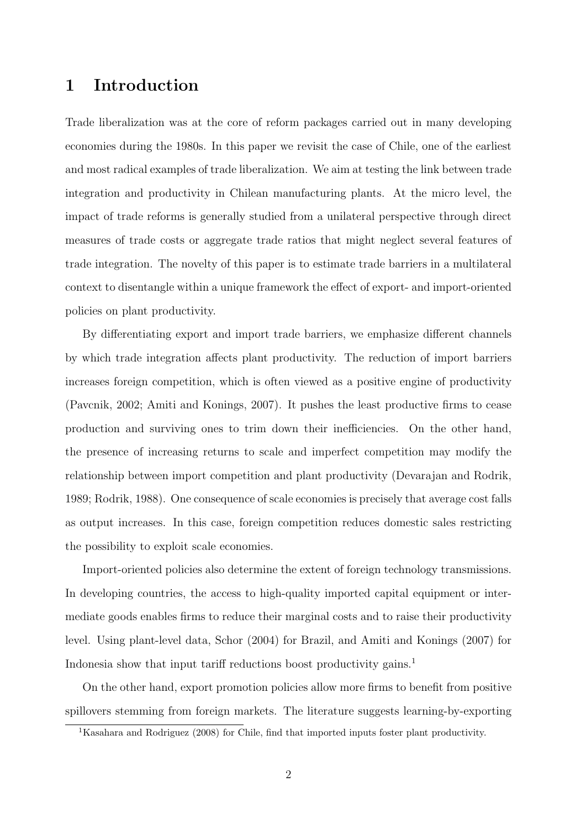## 1 Introduction

Trade liberalization was at the core of reform packages carried out in many developing economies during the 1980s. In this paper we revisit the case of Chile, one of the earliest and most radical examples of trade liberalization. We aim at testing the link between trade integration and productivity in Chilean manufacturing plants. At the micro level, the impact of trade reforms is generally studied from a unilateral perspective through direct measures of trade costs or aggregate trade ratios that might neglect several features of trade integration. The novelty of this paper is to estimate trade barriers in a multilateral context to disentangle within a unique framework the effect of export- and import-oriented policies on plant productivity.

By differentiating export and import trade barriers, we emphasize different channels by which trade integration affects plant productivity. The reduction of import barriers increases foreign competition, which is often viewed as a positive engine of productivity (Pavcnik, 2002; Amiti and Konings, 2007). It pushes the least productive firms to cease production and surviving ones to trim down their inefficiencies. On the other hand, the presence of increasing returns to scale and imperfect competition may modify the relationship between import competition and plant productivity (Devarajan and Rodrik, 1989; Rodrik, 1988). One consequence of scale economies is precisely that average cost falls as output increases. In this case, foreign competition reduces domestic sales restricting the possibility to exploit scale economies.

Import-oriented policies also determine the extent of foreign technology transmissions. In developing countries, the access to high-quality imported capital equipment or intermediate goods enables firms to reduce their marginal costs and to raise their productivity level. Using plant-level data, Schor (2004) for Brazil, and Amiti and Konings (2007) for Indonesia show that input tariff reductions boost productivity gains.<sup>1</sup>

On the other hand, export promotion policies allow more firms to benefit from positive spillovers stemming from foreign markets. The literature suggests learning-by-exporting

<sup>1</sup>Kasahara and Rodriguez (2008) for Chile, find that imported inputs foster plant productivity.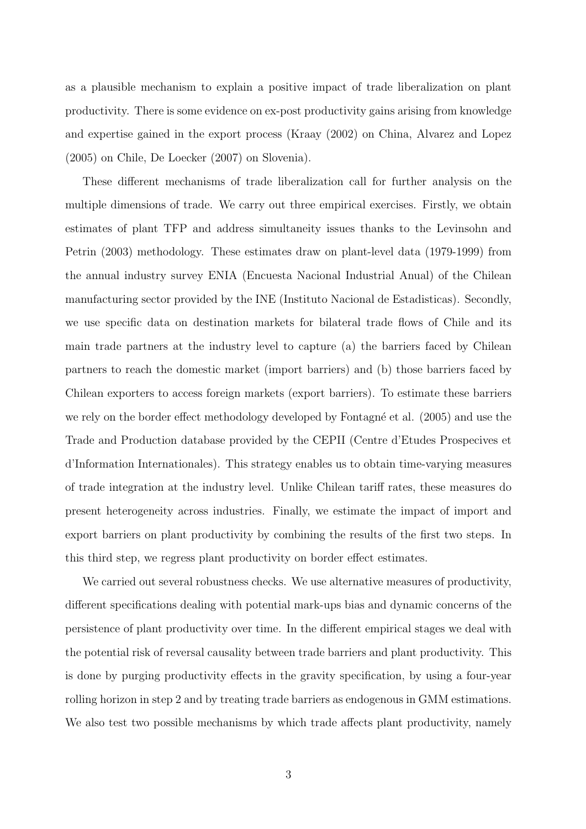as a plausible mechanism to explain a positive impact of trade liberalization on plant productivity. There is some evidence on ex-post productivity gains arising from knowledge and expertise gained in the export process (Kraay (2002) on China, Alvarez and Lopez (2005) on Chile, De Loecker (2007) on Slovenia).

These different mechanisms of trade liberalization call for further analysis on the multiple dimensions of trade. We carry out three empirical exercises. Firstly, we obtain estimates of plant TFP and address simultaneity issues thanks to the Levinsohn and Petrin (2003) methodology. These estimates draw on plant-level data (1979-1999) from the annual industry survey ENIA (Encuesta Nacional Industrial Anual) of the Chilean manufacturing sector provided by the INE (Instituto Nacional de Estadisticas). Secondly, we use specific data on destination markets for bilateral trade flows of Chile and its main trade partners at the industry level to capture (a) the barriers faced by Chilean partners to reach the domestic market (import barriers) and (b) those barriers faced by Chilean exporters to access foreign markets (export barriers). To estimate these barriers we rely on the border effect methodology developed by Fontagné et al. (2005) and use the Trade and Production database provided by the CEPII (Centre d'Etudes Prospecives et d'Information Internationales). This strategy enables us to obtain time-varying measures of trade integration at the industry level. Unlike Chilean tariff rates, these measures do present heterogeneity across industries. Finally, we estimate the impact of import and export barriers on plant productivity by combining the results of the first two steps. In this third step, we regress plant productivity on border effect estimates.

We carried out several robustness checks. We use alternative measures of productivity, different specifications dealing with potential mark-ups bias and dynamic concerns of the persistence of plant productivity over time. In the different empirical stages we deal with the potential risk of reversal causality between trade barriers and plant productivity. This is done by purging productivity effects in the gravity specification, by using a four-year rolling horizon in step 2 and by treating trade barriers as endogenous in GMM estimations. We also test two possible mechanisms by which trade affects plant productivity, namely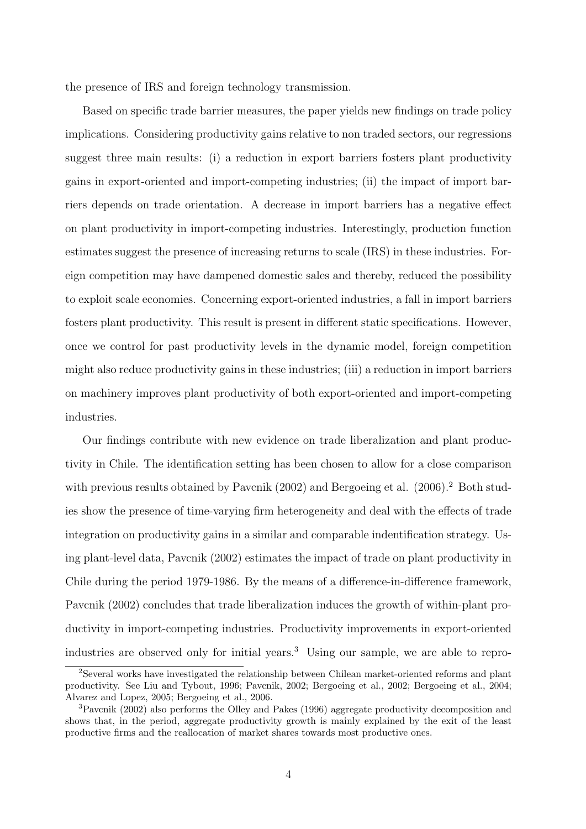the presence of IRS and foreign technology transmission.

Based on specific trade barrier measures, the paper yields new findings on trade policy implications. Considering productivity gains relative to non traded sectors, our regressions suggest three main results: (i) a reduction in export barriers fosters plant productivity gains in export-oriented and import-competing industries; (ii) the impact of import barriers depends on trade orientation. A decrease in import barriers has a negative effect on plant productivity in import-competing industries. Interestingly, production function estimates suggest the presence of increasing returns to scale (IRS) in these industries. Foreign competition may have dampened domestic sales and thereby, reduced the possibility to exploit scale economies. Concerning export-oriented industries, a fall in import barriers fosters plant productivity. This result is present in different static specifications. However, once we control for past productivity levels in the dynamic model, foreign competition might also reduce productivity gains in these industries; (iii) a reduction in import barriers on machinery improves plant productivity of both export-oriented and import-competing industries.

Our findings contribute with new evidence on trade liberalization and plant productivity in Chile. The identification setting has been chosen to allow for a close comparison with previous results obtained by Pavcnik (2002) and Bergoeing et al. (2006).<sup>2</sup> Both studies show the presence of time-varying firm heterogeneity and deal with the effects of trade integration on productivity gains in a similar and comparable indentification strategy. Using plant-level data, Pavcnik (2002) estimates the impact of trade on plant productivity in Chile during the period 1979-1986. By the means of a difference-in-difference framework, Pavcnik (2002) concludes that trade liberalization induces the growth of within-plant productivity in import-competing industries. Productivity improvements in export-oriented industries are observed only for initial years.<sup>3</sup> Using our sample, we are able to repro-

<sup>2</sup>Several works have investigated the relationship between Chilean market-oriented reforms and plant productivity. See Liu and Tybout, 1996; Pavcnik, 2002; Bergoeing et al., 2002; Bergoeing et al., 2004; Alvarez and Lopez, 2005; Bergoeing et al., 2006.

<sup>3</sup>Pavcnik (2002) also performs the Olley and Pakes (1996) aggregate productivity decomposition and shows that, in the period, aggregate productivity growth is mainly explained by the exit of the least productive firms and the reallocation of market shares towards most productive ones.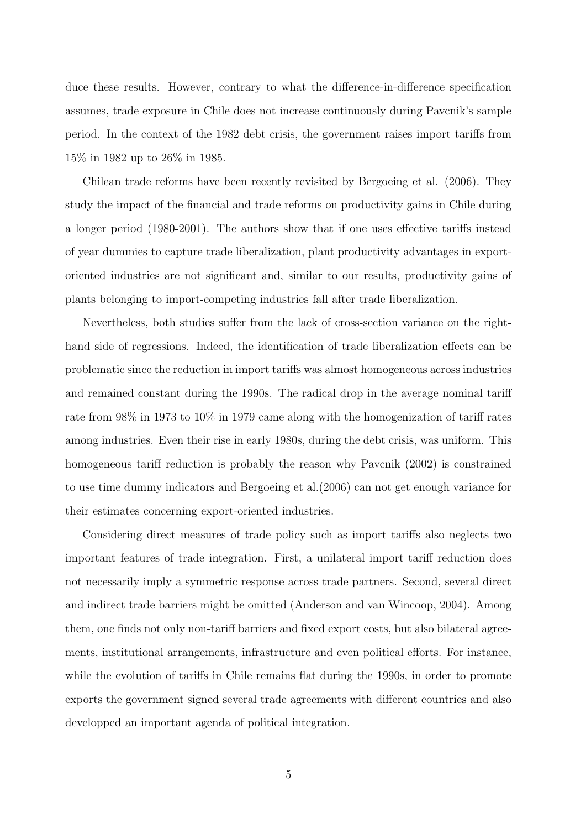duce these results. However, contrary to what the difference-in-difference specification assumes, trade exposure in Chile does not increase continuously during Pavcnik's sample period. In the context of the 1982 debt crisis, the government raises import tariffs from 15% in 1982 up to 26% in 1985.

Chilean trade reforms have been recently revisited by Bergoeing et al. (2006). They study the impact of the financial and trade reforms on productivity gains in Chile during a longer period (1980-2001). The authors show that if one uses effective tariffs instead of year dummies to capture trade liberalization, plant productivity advantages in exportoriented industries are not significant and, similar to our results, productivity gains of plants belonging to import-competing industries fall after trade liberalization.

Nevertheless, both studies suffer from the lack of cross-section variance on the righthand side of regressions. Indeed, the identification of trade liberalization effects can be problematic since the reduction in import tariffs was almost homogeneous across industries and remained constant during the 1990s. The radical drop in the average nominal tariff rate from 98% in 1973 to 10% in 1979 came along with the homogenization of tariff rates among industries. Even their rise in early 1980s, during the debt crisis, was uniform. This homogeneous tariff reduction is probably the reason why Pavcnik (2002) is constrained to use time dummy indicators and Bergoeing et al.(2006) can not get enough variance for their estimates concerning export-oriented industries.

Considering direct measures of trade policy such as import tariffs also neglects two important features of trade integration. First, a unilateral import tariff reduction does not necessarily imply a symmetric response across trade partners. Second, several direct and indirect trade barriers might be omitted (Anderson and van Wincoop, 2004). Among them, one finds not only non-tariff barriers and fixed export costs, but also bilateral agreements, institutional arrangements, infrastructure and even political efforts. For instance, while the evolution of tariffs in Chile remains flat during the 1990s, in order to promote exports the government signed several trade agreements with different countries and also developped an important agenda of political integration.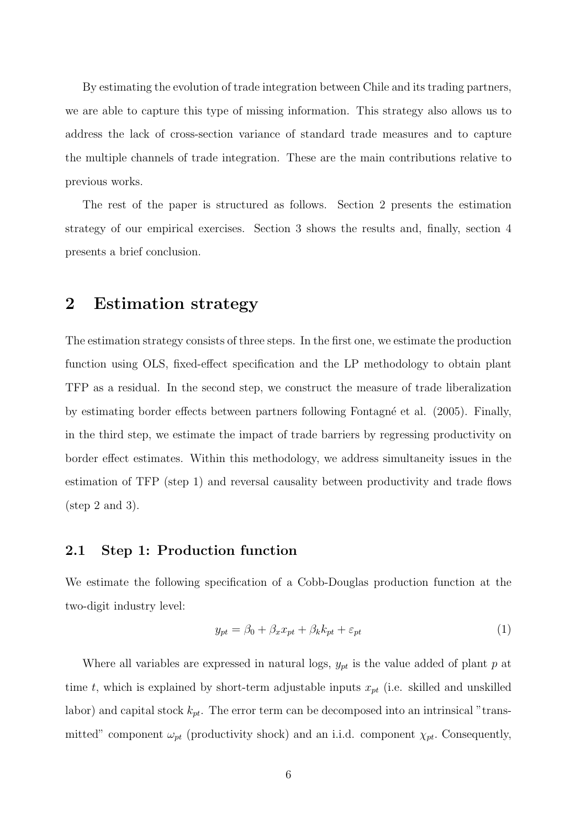By estimating the evolution of trade integration between Chile and its trading partners, we are able to capture this type of missing information. This strategy also allows us to address the lack of cross-section variance of standard trade measures and to capture the multiple channels of trade integration. These are the main contributions relative to previous works.

The rest of the paper is structured as follows. Section 2 presents the estimation strategy of our empirical exercises. Section 3 shows the results and, finally, section 4 presents a brief conclusion.

### 2 Estimation strategy

The estimation strategy consists of three steps. In the first one, we estimate the production function using OLS, fixed-effect specification and the LP methodology to obtain plant TFP as a residual. In the second step, we construct the measure of trade liberalization by estimating border effects between partners following Fontagn´e et al. (2005). Finally, in the third step, we estimate the impact of trade barriers by regressing productivity on border effect estimates. Within this methodology, we address simultaneity issues in the estimation of TFP (step 1) and reversal causality between productivity and trade flows  $(\text{step } 2 \text{ and } 3).$ 

### 2.1 Step 1: Production function

We estimate the following specification of a Cobb-Douglas production function at the two-digit industry level:

$$
y_{pt} = \beta_0 + \beta_x x_{pt} + \beta_k k_{pt} + \varepsilon_{pt} \tag{1}
$$

Where all variables are expressed in natural logs,  $y_{pt}$  is the value added of plant p at time t, which is explained by short-term adjustable inputs  $x_{pt}$  (i.e. skilled and unskilled labor) and capital stock  $k_{pt}$ . The error term can be decomposed into an intrinsical "transmitted" component  $\omega_{pt}$  (productivity shock) and an i.i.d. component  $\chi_{pt}$ . Consequently,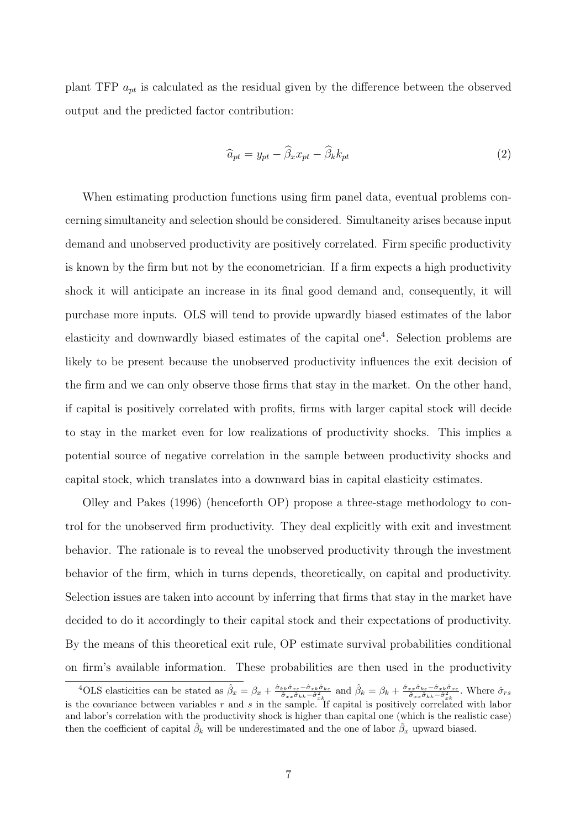plant TFP  $a_{pt}$  is calculated as the residual given by the difference between the observed output and the predicted factor contribution:

$$
\widehat{a}_{pt} = y_{pt} - \widehat{\beta}_x x_{pt} - \widehat{\beta}_k k_{pt} \tag{2}
$$

When estimating production functions using firm panel data, eventual problems concerning simultaneity and selection should be considered. Simultaneity arises because input demand and unobserved productivity are positively correlated. Firm specific productivity is known by the firm but not by the econometrician. If a firm expects a high productivity shock it will anticipate an increase in its final good demand and, consequently, it will purchase more inputs. OLS will tend to provide upwardly biased estimates of the labor elasticity and downwardly biased estimates of the capital one<sup>4</sup>. Selection problems are likely to be present because the unobserved productivity influences the exit decision of the firm and we can only observe those firms that stay in the market. On the other hand, if capital is positively correlated with profits, firms with larger capital stock will decide to stay in the market even for low realizations of productivity shocks. This implies a potential source of negative correlation in the sample between productivity shocks and capital stock, which translates into a downward bias in capital elasticity estimates.

Olley and Pakes (1996) (henceforth OP) propose a three-stage methodology to control for the unobserved firm productivity. They deal explicitly with exit and investment behavior. The rationale is to reveal the unobserved productivity through the investment behavior of the firm, which in turns depends, theoretically, on capital and productivity. Selection issues are taken into account by inferring that firms that stay in the market have decided to do it accordingly to their capital stock and their expectations of productivity. By the means of this theoretical exit rule, OP estimate survival probabilities conditional on firm's available information. These probabilities are then used in the productivity

<sup>&</sup>lt;sup>4</sup>OLS elasticities can be stated as  $\hat{\beta}_x = \beta_x + \frac{\hat{\sigma}_{kk}\hat{\sigma}_{xz} - \hat{\sigma}_{xk}\hat{\sigma}_{k\varepsilon}}{\hat{\sigma}_{xx}\hat{\sigma}_{kk} - \hat{\sigma}_{xk}^2}$  and  $\hat{\beta}_k = \beta_k + \frac{\hat{\sigma}_{xx}\hat{\sigma}_{k\varepsilon} - \hat{\sigma}_{xk}\hat{\sigma}_{x\varepsilon}}{\hat{\sigma}_{xx}\hat{\sigma}_{kk} - \hat{\sigma}_{xk}^2}$ . Where  $\hat{\sigma}_{rs}$ is the covariance between variables  $r$  and  $s$  in the sample. If capital is positively correlated with labor and labor's correlation with the productivity shock is higher than capital one (which is the realistic case) then the coefficient of capital  $\hat{\beta}_k$  will be underestimated and the one of labor  $\hat{\beta}_x$  upward biased.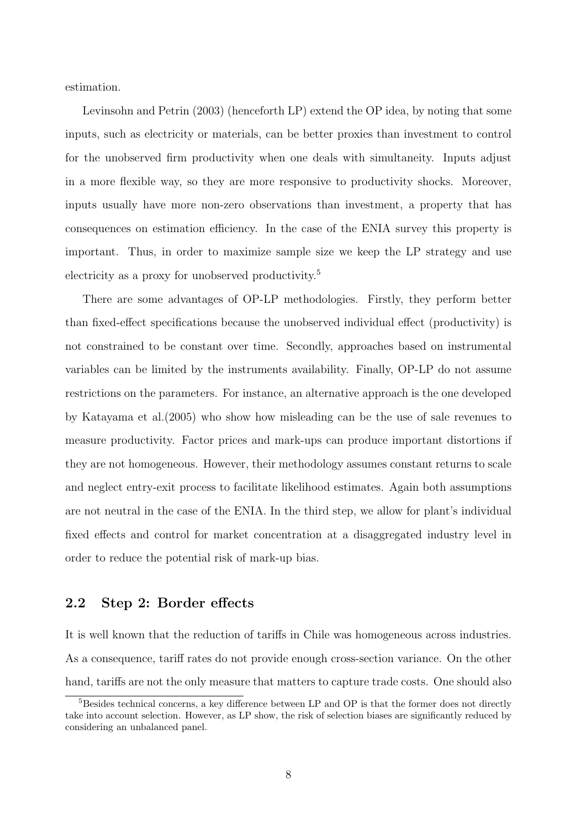estimation.

Levinsohn and Petrin (2003) (henceforth LP) extend the OP idea, by noting that some inputs, such as electricity or materials, can be better proxies than investment to control for the unobserved firm productivity when one deals with simultaneity. Inputs adjust in a more flexible way, so they are more responsive to productivity shocks. Moreover, inputs usually have more non-zero observations than investment, a property that has consequences on estimation efficiency. In the case of the ENIA survey this property is important. Thus, in order to maximize sample size we keep the LP strategy and use electricity as a proxy for unobserved productivity.<sup>5</sup>

There are some advantages of OP-LP methodologies. Firstly, they perform better than fixed-effect specifications because the unobserved individual effect (productivity) is not constrained to be constant over time. Secondly, approaches based on instrumental variables can be limited by the instruments availability. Finally, OP-LP do not assume restrictions on the parameters. For instance, an alternative approach is the one developed by Katayama et al.(2005) who show how misleading can be the use of sale revenues to measure productivity. Factor prices and mark-ups can produce important distortions if they are not homogeneous. However, their methodology assumes constant returns to scale and neglect entry-exit process to facilitate likelihood estimates. Again both assumptions are not neutral in the case of the ENIA. In the third step, we allow for plant's individual fixed effects and control for market concentration at a disaggregated industry level in order to reduce the potential risk of mark-up bias.

### 2.2 Step 2: Border effects

It is well known that the reduction of tariffs in Chile was homogeneous across industries. As a consequence, tariff rates do not provide enough cross-section variance. On the other hand, tariffs are not the only measure that matters to capture trade costs. One should also

<sup>&</sup>lt;sup>5</sup>Besides technical concerns, a key difference between LP and OP is that the former does not directly take into account selection. However, as LP show, the risk of selection biases are significantly reduced by considering an unbalanced panel.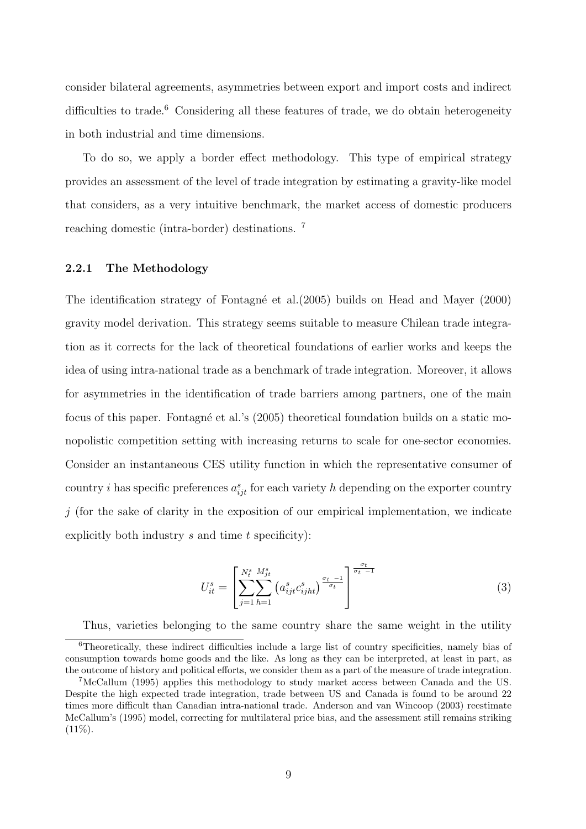consider bilateral agreements, asymmetries between export and import costs and indirect difficulties to trade. $6$  Considering all these features of trade, we do obtain heterogeneity in both industrial and time dimensions.

To do so, we apply a border effect methodology. This type of empirical strategy provides an assessment of the level of trade integration by estimating a gravity-like model that considers, as a very intuitive benchmark, the market access of domestic producers reaching domestic (intra-border) destinations. <sup>7</sup>

### 2.2.1 The Methodology

The identification strategy of Fontagné et al. (2005) builds on Head and Mayer (2000) gravity model derivation. This strategy seems suitable to measure Chilean trade integration as it corrects for the lack of theoretical foundations of earlier works and keeps the idea of using intra-national trade as a benchmark of trade integration. Moreover, it allows for asymmetries in the identification of trade barriers among partners, one of the main focus of this paper. Fontagné et al.'s (2005) theoretical foundation builds on a static monopolistic competition setting with increasing returns to scale for one-sector economies. Consider an instantaneous CES utility function in which the representative consumer of country *i* has specific preferences  $a_{ijt}^s$  for each variety h depending on the exporter country  $j$  (for the sake of clarity in the exposition of our empirical implementation, we indicate explicitly both industry  $s$  and time  $t$  specificity):

$$
U_{it}^{s} = \left[ \sum_{j=1}^{N_t^{s}} \sum_{h=1}^{M_{jt}^{s}} \left( a_{ijt}^{s} c_{ijht}^{s} \right)^{\frac{\sigma_t - 1}{\sigma_t}} \right]^{\frac{\sigma_t}{\sigma_t - 1}}
$$
(3)

Thus, varieties belonging to the same country share the same weight in the utility

<sup>6</sup>Theoretically, these indirect difficulties include a large list of country specificities, namely bias of consumption towards home goods and the like. As long as they can be interpreted, at least in part, as the outcome of history and political efforts, we consider them as a part of the measure of trade integration.

<sup>7</sup>McCallum (1995) applies this methodology to study market access between Canada and the US. Despite the high expected trade integration, trade between US and Canada is found to be around 22 times more difficult than Canadian intra-national trade. Anderson and van Wincoop (2003) reestimate McCallum's (1995) model, correcting for multilateral price bias, and the assessment still remains striking  $(11\%).$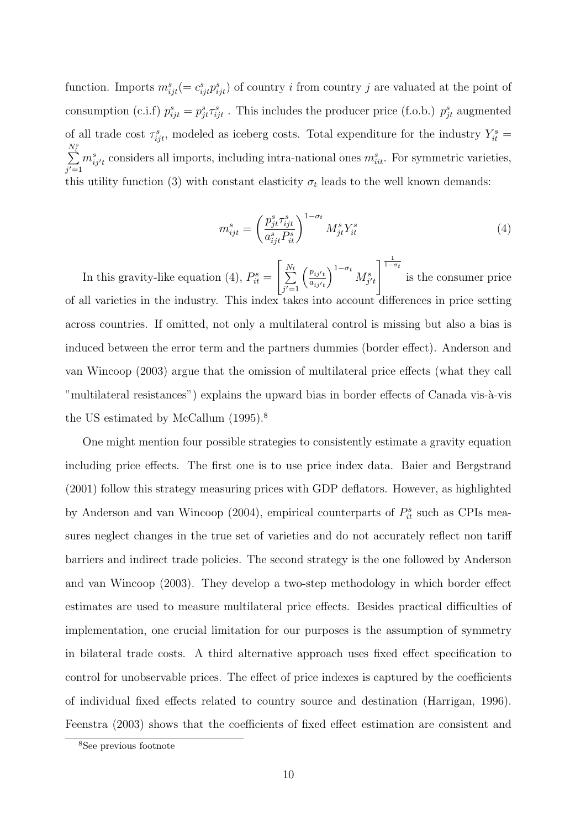function. Imports  $m_{ijt}^s (= c_{ijt}^s p_{ijt}^s)$  of country *i* from country *j* are valuated at the point of consumption (c.i.f)  $p_{ijt}^s = p_{jt}^s \tau_{ijt}^s$ . This includes the producer price (f.o.b.)  $p_{jt}^s$  augmented of all trade cost  $\tau_{ijt}^s$ , modeled as iceberg costs. Total expenditure for the industry  $Y_{it}^s$  $N_t^s$  $\sum_{i=1}^{N_t}$  $j'=1$  $m_{ij't}^s$  considers all imports, including intra-national ones  $m_{iit}^s$ . For symmetric varieties, this utility function (3) with constant elasticity  $\sigma_t$  leads to the well known demands:

$$
m_{ijt}^s = \left(\frac{p_{jt}^s \tau_{ijt}^s}{a_{ijt}^s P_{it}^s}\right)^{1-\sigma_t} M_{jt}^s Y_{it}^s \tag{4}
$$

In this gravity-like equation (4),  $P_{it}^s =$  $\sqrt{ }$  $\sum_{ }^{N_t}$  $j'=1$  $\int p_{ij}t$  $a_{ij}$  $\int_0^{1-\sigma_t} M^s_{j't}$  $\frac{1}{1-\sigma_t}$ is the consumer price of all varieties in the industry. This index takes into account differences in price setting across countries. If omitted, not only a multilateral control is missing but also a bias is induced between the error term and the partners dummies (border effect). Anderson and van Wincoop (2003) argue that the omission of multilateral price effects (what they call "multilateral resistances") explains the upward bias in border effects of Canada vis-à-vis the US estimated by McCallum  $(1995)^8$ .

One might mention four possible strategies to consistently estimate a gravity equation including price effects. The first one is to use price index data. Baier and Bergstrand (2001) follow this strategy measuring prices with GDP deflators. However, as highlighted by Anderson and van Wincoop (2004), empirical counterparts of  $P_{it}^s$  such as CPIs measures neglect changes in the true set of varieties and do not accurately reflect non tariff barriers and indirect trade policies. The second strategy is the one followed by Anderson and van Wincoop (2003). They develop a two-step methodology in which border effect estimates are used to measure multilateral price effects. Besides practical difficulties of implementation, one crucial limitation for our purposes is the assumption of symmetry in bilateral trade costs. A third alternative approach uses fixed effect specification to control for unobservable prices. The effect of price indexes is captured by the coefficients of individual fixed effects related to country source and destination (Harrigan, 1996). Feenstra (2003) shows that the coefficients of fixed effect estimation are consistent and

<sup>8</sup>See previous footnote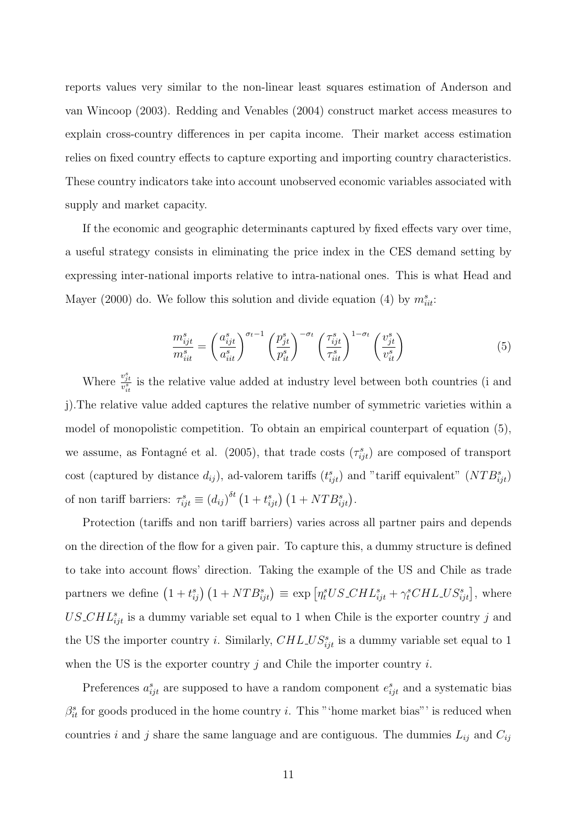reports values very similar to the non-linear least squares estimation of Anderson and van Wincoop (2003). Redding and Venables (2004) construct market access measures to explain cross-country differences in per capita income. Their market access estimation relies on fixed country effects to capture exporting and importing country characteristics. These country indicators take into account unobserved economic variables associated with supply and market capacity.

If the economic and geographic determinants captured by fixed effects vary over time, a useful strategy consists in eliminating the price index in the CES demand setting by expressing inter-national imports relative to intra-national ones. This is what Head and Mayer (2000) do. We follow this solution and divide equation (4) by  $m_{iii}^s$ .

$$
\frac{m_{ijt}^s}{m_{iit}^s} = \left(\frac{a_{ijt}^s}{a_{iit}^s}\right)^{\sigma_t - 1} \left(\frac{p_{jt}^s}{p_{it}^s}\right)^{-\sigma_t} \left(\frac{\tau_{ijt}^s}{\tau_{it}^s}\right)^{1-\sigma_t} \left(\frac{v_{jt}^s}{v_{it}^s}\right)
$$
(5)

Where  $\frac{v_{jt}^s}{v_{it}^s}$  is the relative value added at industry level between both countries (i and j).The relative value added captures the relative number of symmetric varieties within a model of monopolistic competition. To obtain an empirical counterpart of equation (5), we assume, as Fontagné et al. (2005), that trade costs  $(\tau_{ijt}^s)$  are composed of transport cost (captured by distance  $d_{ij}$ ), ad-valorem tariffs  $(t_{ijt}^s)$  and "tariff equivalent"  $(NTB_{ijt}^s)$ of non tariff barriers:  $\tau_{ijt}^s \equiv (d_{ij})^{\delta t} (1 + t_{ijt}^s) (1 + NTB_{ijt}^s)$ .

Protection (tariffs and non tariff barriers) varies across all partner pairs and depends on the direction of the flow for a given pair. To capture this, a dummy structure is defined to take into account flows' direction. Taking the example of the US and Chile as trade partners we define  $(1+t_{ij}^s)(1+NTB_{ijt}^s) \equiv \exp \left[\eta_t^sUS{\cal L}HL_{ijt}^s + \gamma_t^sCH{\cal L}US_{ijt}^s\right],$  where  $US\_CHL_{ijt}^s$  is a dummy variable set equal to 1 when Chile is the exporter country j and the US the importer country *i*. Similarly,  $CHL<sub>ij</sub>$  is a dummy variable set equal to 1 when the US is the exporter country  $j$  and Chile the importer country  $i$ .

Preferences  $a_{ijt}^s$  are supposed to have a random component  $e_{ijt}^s$  and a systematic bias  $\beta_{it}^s$  for goods produced in the home country *i*. This "'home market bias"' is reduced when countries i and j share the same language and are contiguous. The dummies  $L_{ij}$  and  $C_{ij}$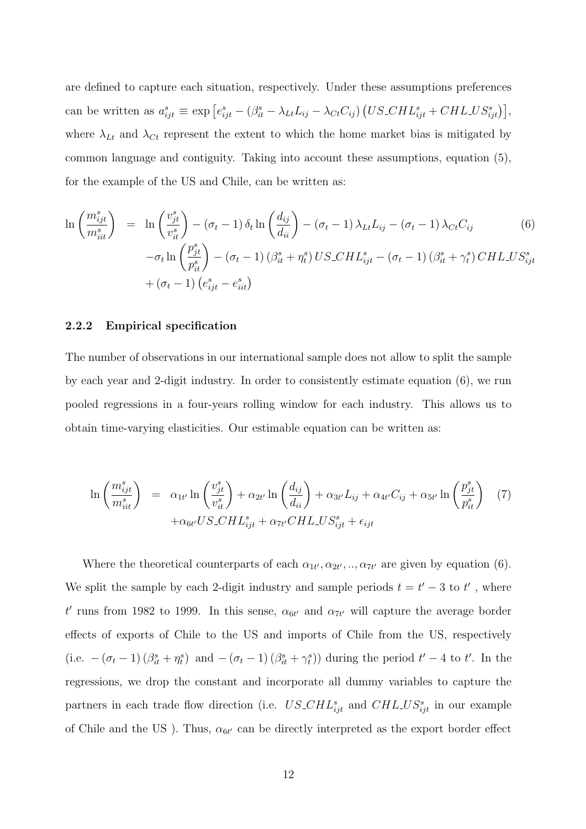are defined to capture each situation, respectively. Under these assumptions preferences can be written as  $a_{ijt}^s \equiv \exp\left[e_{ijt}^s - (\beta_{it}^s - \lambda_{Lt}L_{ij} - \lambda_{Ct}C_{ij})\left(US\_CHL_{ijt}^s + CHLLUS_{ijt}^s\right)\right],$ where  $\lambda_{Lt}$  and  $\lambda_{Ct}$  represent the extent to which the home market bias is mitigated by common language and contiguity. Taking into account these assumptions, equation (5), for the example of the US and Chile, can be written as:

$$
\ln\left(\frac{m_{ijt}^s}{m_{iit}^s}\right) = \ln\left(\frac{v_{jt}^s}{v_{it}^s}\right) - (\sigma_t - 1)\delta_t \ln\left(\frac{d_{ij}}{d_{ii}}\right) - (\sigma_t - 1)\lambda_{Lt}L_{ij} - (\sigma_t - 1)\lambda_{Ct}C_{ij}
$$
(6)  

$$
-\sigma_t \ln\left(\frac{p_{jt}^s}{p_{it}^s}\right) - (\sigma_t - 1)(\beta_{it}^s + \eta_t^s) \text{US}\_CHL_{ijt}^s - (\sigma_t - 1)(\beta_{it}^s + \gamma_t^s) \text{CHL}\_US_{ijt}^s
$$

$$
+(\sigma_t - 1)(e_{ijt}^s - e_{itt}^s)
$$

#### 2.2.2 Empirical specification

The number of observations in our international sample does not allow to split the sample by each year and 2-digit industry. In order to consistently estimate equation (6), we run pooled regressions in a four-years rolling window for each industry. This allows us to obtain time-varying elasticities. Our estimable equation can be written as:

$$
\ln\left(\frac{m_{ijt}^s}{m_{iit}^s}\right) = \alpha_{1t'} \ln\left(\frac{v_{jt}^s}{v_{it}^s}\right) + \alpha_{2t'} \ln\left(\frac{d_{ij}}{d_{ii}}\right) + \alpha_{3t'} L_{ij} + \alpha_{4t'} C_{ij} + \alpha_{5t'} \ln\left(\frac{p_{jt}^s}{p_{it}^s}\right)
$$
(7)  
 
$$
+ \alpha_{6t'} U S \_CHL_{ijt}^s + \alpha_{7t'} CH L \_US_{ijt}^s + \epsilon_{ijt}
$$

Where the theoretical counterparts of each  $\alpha_{1t'}, \alpha_{2t'}, \dots, \alpha_{7t'}$  are given by equation (6). We split the sample by each 2-digit industry and sample periods  $t = t' - 3$  to  $t'$ , where t' runs from 1982 to 1999. In this sense,  $\alpha_{6t'}$  and  $\alpha_{7t'}$  will capture the average border effects of exports of Chile to the US and imports of Chile from the US, respectively (i.e.  $-(\sigma_t - 1)(\beta_{it}^s + \eta_t^s)$  and  $-(\sigma_t - 1)(\beta_{it}^s + \gamma_t^s)$ ) during the period  $t' - 4$  to  $t'$ . In the regressions, we drop the constant and incorporate all dummy variables to capture the partners in each trade flow direction (i.e.  $US\_CHL_{ijt}^s$  and  $CHL\_US_{ijt}^s$  in our example of Chile and the US ). Thus,  $\alpha_{6t'}$  can be directly interpreted as the export border effect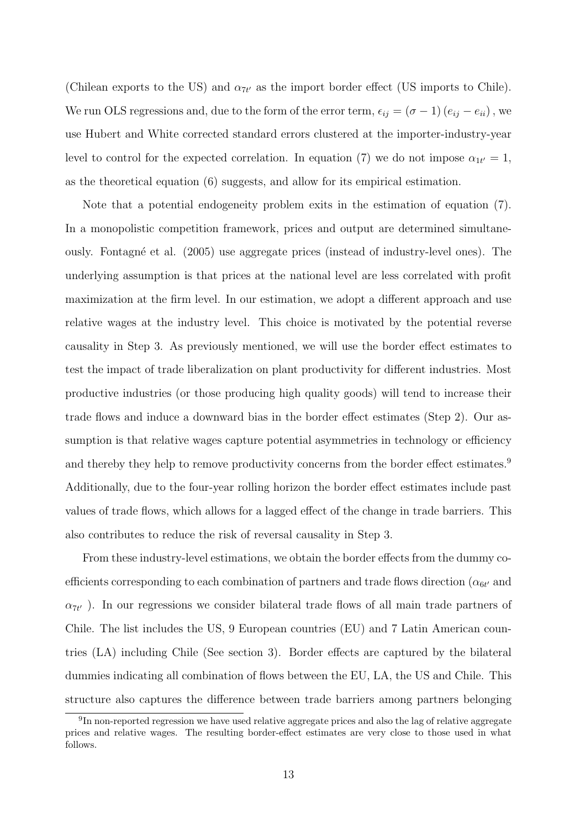(Chilean exports to the US) and  $\alpha_{7t'}$  as the import border effect (US imports to Chile). We run OLS regressions and, due to the form of the error term,  $\epsilon_{ij} = (\sigma - 1) (e_{ij} - e_{ii})$ , we use Hubert and White corrected standard errors clustered at the importer-industry-year level to control for the expected correlation. In equation (7) we do not impose  $\alpha_{1t'} = 1$ , as the theoretical equation (6) suggests, and allow for its empirical estimation.

Note that a potential endogeneity problem exits in the estimation of equation (7). In a monopolistic competition framework, prices and output are determined simultaneously. Fontagn´e et al. (2005) use aggregate prices (instead of industry-level ones). The underlying assumption is that prices at the national level are less correlated with profit maximization at the firm level. In our estimation, we adopt a different approach and use relative wages at the industry level. This choice is motivated by the potential reverse causality in Step 3. As previously mentioned, we will use the border effect estimates to test the impact of trade liberalization on plant productivity for different industries. Most productive industries (or those producing high quality goods) will tend to increase their trade flows and induce a downward bias in the border effect estimates (Step 2). Our assumption is that relative wages capture potential asymmetries in technology or efficiency and thereby they help to remove productivity concerns from the border effect estimates.<sup>9</sup> Additionally, due to the four-year rolling horizon the border effect estimates include past values of trade flows, which allows for a lagged effect of the change in trade barriers. This also contributes to reduce the risk of reversal causality in Step 3.

From these industry-level estimations, we obtain the border effects from the dummy coefficients corresponding to each combination of partners and trade flows direction ( $\alpha_{6t'}$  and  $\alpha_{7t'}$ ). In our regressions we consider bilateral trade flows of all main trade partners of Chile. The list includes the US, 9 European countries (EU) and 7 Latin American countries (LA) including Chile (See section 3). Border effects are captured by the bilateral dummies indicating all combination of flows between the EU, LA, the US and Chile. This structure also captures the difference between trade barriers among partners belonging

<sup>&</sup>lt;sup>9</sup>In non-reported regression we have used relative aggregate prices and also the lag of relative aggregate prices and relative wages. The resulting border-effect estimates are very close to those used in what follows.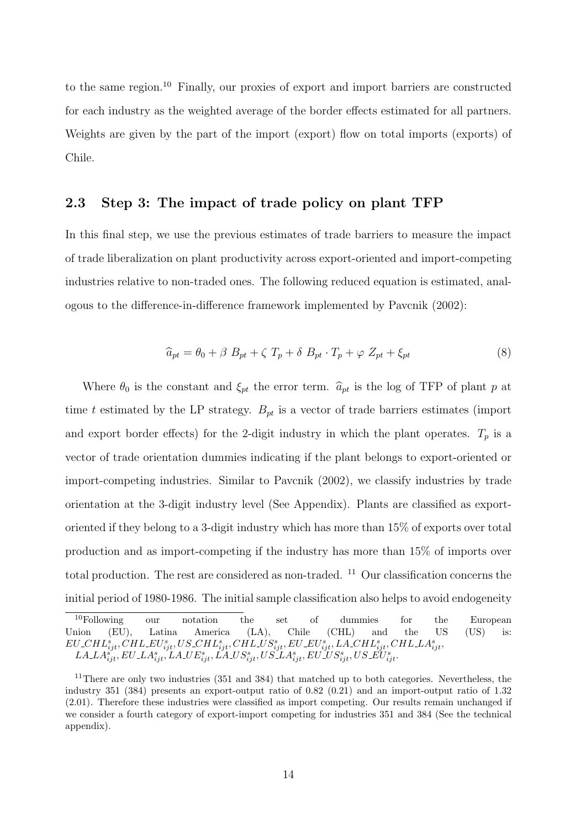to the same region.<sup>10</sup> Finally, our proxies of export and import barriers are constructed for each industry as the weighted average of the border effects estimated for all partners. Weights are given by the part of the import (export) flow on total imports (exports) of Chile.

### 2.3 Step 3: The impact of trade policy on plant TFP

In this final step, we use the previous estimates of trade barriers to measure the impact of trade liberalization on plant productivity across export-oriented and import-competing industries relative to non-traded ones. The following reduced equation is estimated, analogous to the difference-in-difference framework implemented by Pavcnik (2002):

$$
\widehat{a}_{pt} = \theta_0 + \beta B_{pt} + \zeta T_p + \delta B_{pt} \cdot T_p + \varphi Z_{pt} + \xi_{pt} \tag{8}
$$

Where  $\theta_0$  is the constant and  $\xi_{pt}$  the error term.  $\hat{a}_{pt}$  is the log of TFP of plant p at time t estimated by the LP strategy.  $B_{pt}$  is a vector of trade barriers estimates (import and export border effects) for the 2-digit industry in which the plant operates.  $T_p$  is a vector of trade orientation dummies indicating if the plant belongs to export-oriented or import-competing industries. Similar to Pavcnik (2002), we classify industries by trade orientation at the 3-digit industry level (See Appendix). Plants are classified as exportoriented if they belong to a 3-digit industry which has more than 15% of exports over total production and as import-competing if the industry has more than 15% of imports over total production. The rest are considered as non-traded. <sup>11</sup> Our classification concerns the initial period of 1980-1986. The initial sample classification also helps to avoid endogeneity

<sup>10</sup>Following our notation the set of dummies for the European Union (EU), Latina America (LA), Chile (CHL) and the US (US) is:  $EU\_CHL_{ijt}^s, CHL\_EU_{ijt}^s, US\_CHL_{ijt}^s, CHL\_US_{ijt}^s, EU\_EU_{ijt}^s, LA\_CHL_{ijt}^s, CHL\_LA_{ijt}^s, CHL\_IA_{ijt}^s, CHL\_IA_{ijt}^s, CHL\_IA_{ijt}^s, CHL\_IA_{ijt}^s, CHL\_IA_{ijt}^s, CHL\_IA_{ijt}^s, CHL\_IA_{ijt}^s, CHL\_IA_{ijt}^s, CHL\_IA_{ijt}^s, CHL\_IA_{ijt}^s, CHL\_IA_{ijt}^s, CHL\_IA_{ijt}^s, CHL\_IA_{ijt}^s, CH$  $LA\_LA_{ijt}^s, EU\_LA_{ijt}^s, LA\_UE_{ijt}^s, LA\_US_{ijt}^s, US\_LA_{ijt}^s, EU\_US_{ijt}^s, US\_E\check{U}_{ijt}^s.$ 

 $11$ There are only two industries (351 and 384) that matched up to both categories. Nevertheless, the industry 351 (384) presents an export-output ratio of 0.82 (0.21) and an import-output ratio of 1.32 (2.01). Therefore these industries were classified as import competing. Our results remain unchanged if we consider a fourth category of export-import competing for industries 351 and 384 (See the technical appendix).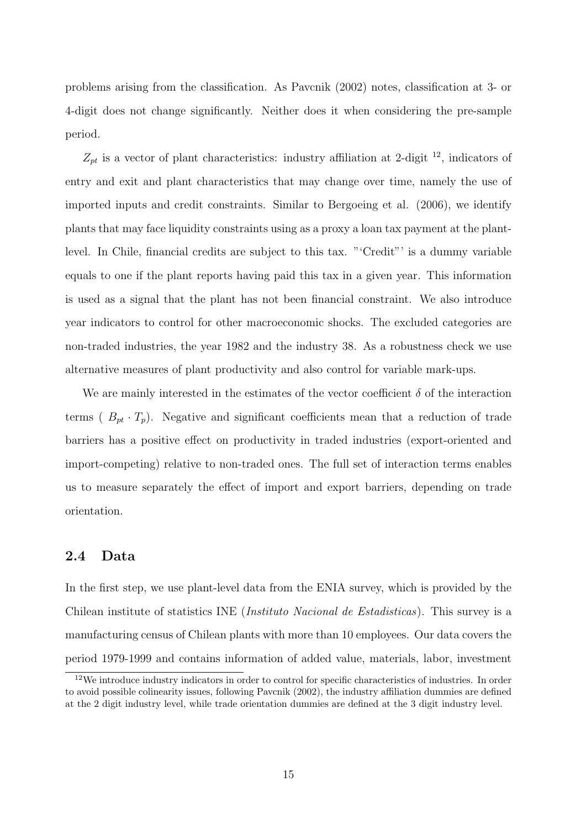problems arising from the classification. As Pavcnik (2002) notes, classification at 3- or 4-digit does not change significantly. Neither does it when considering the pre-sample period.

 $Z_{pt}$  is a vector of plant characteristics: industry affiliation at 2-digit <sup>12</sup>, indicators of entry and exit and plant characteristics that may change over time, namely the use of imported inputs and credit constraints. Similar to Bergoeing et al. (2006), we identify plants that may face liquidity constraints using as a proxy a loan tax payment at the plantlevel. In Chile, financial credits are subject to this tax. "'Credit"' is a dummy variable equals to one if the plant reports having paid this tax in a given year. This information is used as a signal that the plant has not been financial constraint. We also introduce year indicators to control for other macroeconomic shocks. The excluded categories are non-traded industries, the year 1982 and the industry 38. As a robustness check we use alternative measures of plant productivity and also control for variable mark-ups.

We are mainly interested in the estimates of the vector coefficient  $\delta$  of the interaction terms ( $B_{pt} \cdot T_p$ ). Negative and significant coefficients mean that a reduction of trade barriers has a positive effect on productivity in traded industries (export-oriented and import-competing) relative to non-traded ones. The full set of interaction terms enables us to measure separately the effect of import and export barriers, depending on trade orientation.

### 2.4 Data

In the first step, we use plant-level data from the ENIA survey, which is provided by the Chilean institute of statistics INE (Instituto Nacional de Estadisticas). This survey is a manufacturing census of Chilean plants with more than 10 employees. Our data covers the period 1979-1999 and contains information of added value, materials, labor, investment

<sup>12</sup>We introduce industry indicators in order to control for specific characteristics of industries. In order to avoid possible colinearity issues, following Pavcnik (2002), the industry affiliation dummies are defined at the 2 digit industry level, while trade orientation dummies are defined at the 3 digit industry level.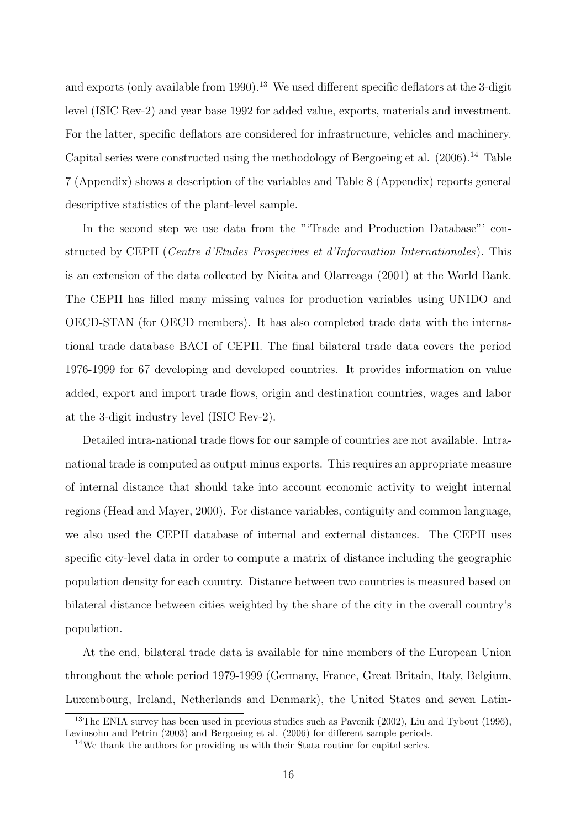and exports (only available from 1990).<sup>13</sup> We used different specific deflators at the 3-digit level (ISIC Rev-2) and year base 1992 for added value, exports, materials and investment. For the latter, specific deflators are considered for infrastructure, vehicles and machinery. Capital series were constructed using the methodology of Bergoeing et al. (2006).<sup>14</sup> Table 7 (Appendix) shows a description of the variables and Table 8 (Appendix) reports general descriptive statistics of the plant-level sample.

In the second step we use data from the "'Trade and Production Database"' constructed by CEPII (Centre d'Etudes Prospecives et d'Information Internationales). This is an extension of the data collected by Nicita and Olarreaga (2001) at the World Bank. The CEPII has filled many missing values for production variables using UNIDO and OECD-STAN (for OECD members). It has also completed trade data with the international trade database BACI of CEPII. The final bilateral trade data covers the period 1976-1999 for 67 developing and developed countries. It provides information on value added, export and import trade flows, origin and destination countries, wages and labor at the 3-digit industry level (ISIC Rev-2).

Detailed intra-national trade flows for our sample of countries are not available. Intranational trade is computed as output minus exports. This requires an appropriate measure of internal distance that should take into account economic activity to weight internal regions (Head and Mayer, 2000). For distance variables, contiguity and common language, we also used the CEPII database of internal and external distances. The CEPII uses specific city-level data in order to compute a matrix of distance including the geographic population density for each country. Distance between two countries is measured based on bilateral distance between cities weighted by the share of the city in the overall country's population.

At the end, bilateral trade data is available for nine members of the European Union throughout the whole period 1979-1999 (Germany, France, Great Britain, Italy, Belgium, Luxembourg, Ireland, Netherlands and Denmark), the United States and seven Latin-

<sup>13</sup>The ENIA survey has been used in previous studies such as Pavcnik (2002), Liu and Tybout (1996), Levinsohn and Petrin (2003) and Bergoeing et al. (2006) for different sample periods.

<sup>14</sup>We thank the authors for providing us with their Stata routine for capital series.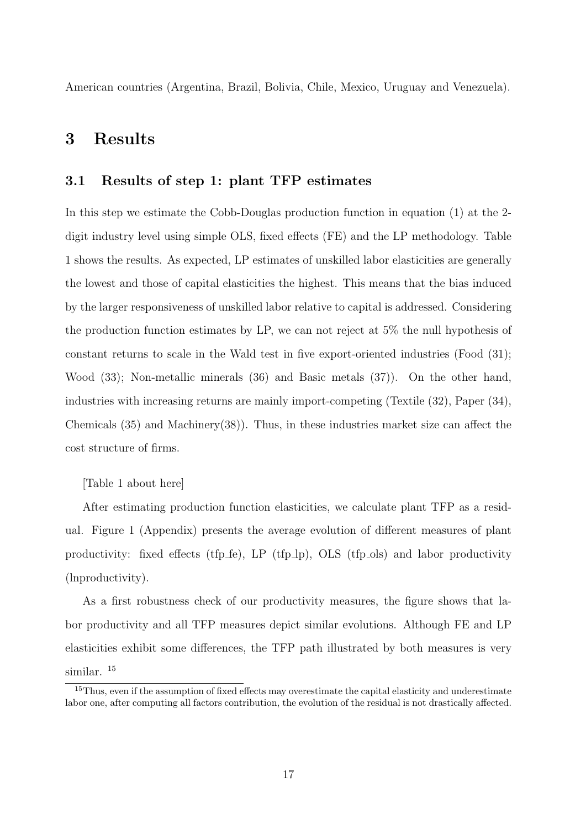American countries (Argentina, Brazil, Bolivia, Chile, Mexico, Uruguay and Venezuela).

## 3 Results

### 3.1 Results of step 1: plant TFP estimates

In this step we estimate the Cobb-Douglas production function in equation (1) at the 2 digit industry level using simple OLS, fixed effects (FE) and the LP methodology. Table 1 shows the results. As expected, LP estimates of unskilled labor elasticities are generally the lowest and those of capital elasticities the highest. This means that the bias induced by the larger responsiveness of unskilled labor relative to capital is addressed. Considering the production function estimates by LP, we can not reject at 5% the null hypothesis of constant returns to scale in the Wald test in five export-oriented industries (Food (31); Wood (33); Non-metallic minerals (36) and Basic metals (37)). On the other hand, industries with increasing returns are mainly import-competing (Textile (32), Paper (34), Chemicals  $(35)$  and Machinery $(38)$ ). Thus, in these industries market size can affect the cost structure of firms.

[Table 1 about here]

After estimating production function elasticities, we calculate plant TFP as a residual. Figure 1 (Appendix) presents the average evolution of different measures of plant productivity: fixed effects (tfp  $f$ e), LP (tfp  $\vert$ p), OLS (tfp  $\vert$ ols) and labor productivity (lnproductivity).

As a first robustness check of our productivity measures, the figure shows that labor productivity and all TFP measures depict similar evolutions. Although FE and LP elasticities exhibit some differences, the TFP path illustrated by both measures is very similar.<sup>15</sup>

<sup>&</sup>lt;sup>15</sup>Thus, even if the assumption of fixed effects may overestimate the capital elasticity and underestimate labor one, after computing all factors contribution, the evolution of the residual is not drastically affected.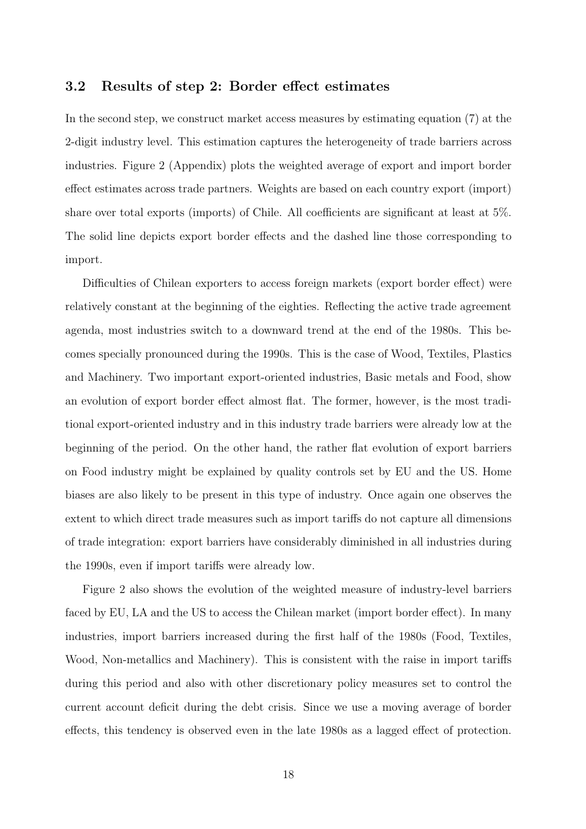### 3.2 Results of step 2: Border effect estimates

In the second step, we construct market access measures by estimating equation (7) at the 2-digit industry level. This estimation captures the heterogeneity of trade barriers across industries. Figure 2 (Appendix) plots the weighted average of export and import border effect estimates across trade partners. Weights are based on each country export (import) share over total exports (imports) of Chile. All coefficients are significant at least at 5%. The solid line depicts export border effects and the dashed line those corresponding to import.

Difficulties of Chilean exporters to access foreign markets (export border effect) were relatively constant at the beginning of the eighties. Reflecting the active trade agreement agenda, most industries switch to a downward trend at the end of the 1980s. This becomes specially pronounced during the 1990s. This is the case of Wood, Textiles, Plastics and Machinery. Two important export-oriented industries, Basic metals and Food, show an evolution of export border effect almost flat. The former, however, is the most traditional export-oriented industry and in this industry trade barriers were already low at the beginning of the period. On the other hand, the rather flat evolution of export barriers on Food industry might be explained by quality controls set by EU and the US. Home biases are also likely to be present in this type of industry. Once again one observes the extent to which direct trade measures such as import tariffs do not capture all dimensions of trade integration: export barriers have considerably diminished in all industries during the 1990s, even if import tariffs were already low.

Figure 2 also shows the evolution of the weighted measure of industry-level barriers faced by EU, LA and the US to access the Chilean market (import border effect). In many industries, import barriers increased during the first half of the 1980s (Food, Textiles, Wood, Non-metallics and Machinery). This is consistent with the raise in import tariffs during this period and also with other discretionary policy measures set to control the current account deficit during the debt crisis. Since we use a moving average of border effects, this tendency is observed even in the late 1980s as a lagged effect of protection.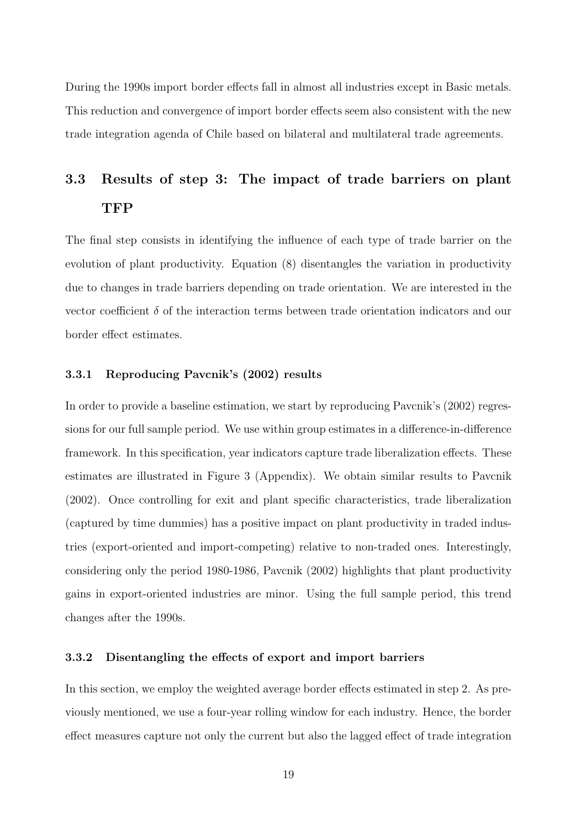During the 1990s import border effects fall in almost all industries except in Basic metals. This reduction and convergence of import border effects seem also consistent with the new trade integration agenda of Chile based on bilateral and multilateral trade agreements.

# 3.3 Results of step 3: The impact of trade barriers on plant TFP

The final step consists in identifying the influence of each type of trade barrier on the evolution of plant productivity. Equation (8) disentangles the variation in productivity due to changes in trade barriers depending on trade orientation. We are interested in the vector coefficient  $\delta$  of the interaction terms between trade orientation indicators and our border effect estimates.

#### 3.3.1 Reproducing Pavcnik's (2002) results

In order to provide a baseline estimation, we start by reproducing Pavcnik's (2002) regressions for our full sample period. We use within group estimates in a difference-in-difference framework. In this specification, year indicators capture trade liberalization effects. These estimates are illustrated in Figure 3 (Appendix). We obtain similar results to Pavcnik (2002). Once controlling for exit and plant specific characteristics, trade liberalization (captured by time dummies) has a positive impact on plant productivity in traded industries (export-oriented and import-competing) relative to non-traded ones. Interestingly, considering only the period 1980-1986, Pavcnik (2002) highlights that plant productivity gains in export-oriented industries are minor. Using the full sample period, this trend changes after the 1990s.

#### 3.3.2 Disentangling the effects of export and import barriers

In this section, we employ the weighted average border effects estimated in step 2. As previously mentioned, we use a four-year rolling window for each industry. Hence, the border effect measures capture not only the current but also the lagged effect of trade integration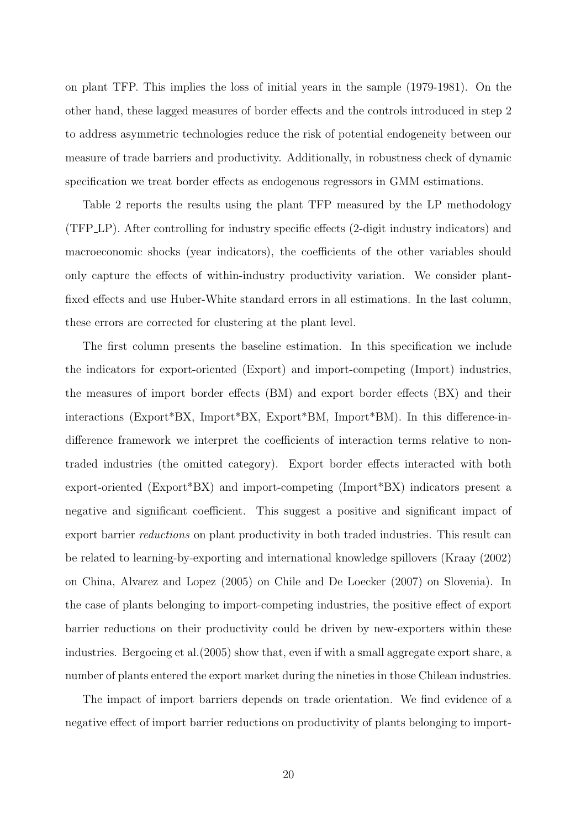on plant TFP. This implies the loss of initial years in the sample (1979-1981). On the other hand, these lagged measures of border effects and the controls introduced in step 2 to address asymmetric technologies reduce the risk of potential endogeneity between our measure of trade barriers and productivity. Additionally, in robustness check of dynamic specification we treat border effects as endogenous regressors in GMM estimations.

Table 2 reports the results using the plant TFP measured by the LP methodology (TFP LP). After controlling for industry specific effects (2-digit industry indicators) and macroeconomic shocks (year indicators), the coefficients of the other variables should only capture the effects of within-industry productivity variation. We consider plantfixed effects and use Huber-White standard errors in all estimations. In the last column, these errors are corrected for clustering at the plant level.

The first column presents the baseline estimation. In this specification we include the indicators for export-oriented (Export) and import-competing (Import) industries, the measures of import border effects (BM) and export border effects (BX) and their interactions (Export\*BX, Import\*BX, Export\*BM, Import\*BM). In this difference-indifference framework we interpret the coefficients of interaction terms relative to nontraded industries (the omitted category). Export border effects interacted with both export-oriented (Export\*BX) and import-competing (Import\*BX) indicators present a negative and significant coefficient. This suggest a positive and significant impact of export barrier reductions on plant productivity in both traded industries. This result can be related to learning-by-exporting and international knowledge spillovers (Kraay (2002) on China, Alvarez and Lopez (2005) on Chile and De Loecker (2007) on Slovenia). In the case of plants belonging to import-competing industries, the positive effect of export barrier reductions on their productivity could be driven by new-exporters within these industries. Bergoeing et al.(2005) show that, even if with a small aggregate export share, a number of plants entered the export market during the nineties in those Chilean industries.

The impact of import barriers depends on trade orientation. We find evidence of a negative effect of import barrier reductions on productivity of plants belonging to import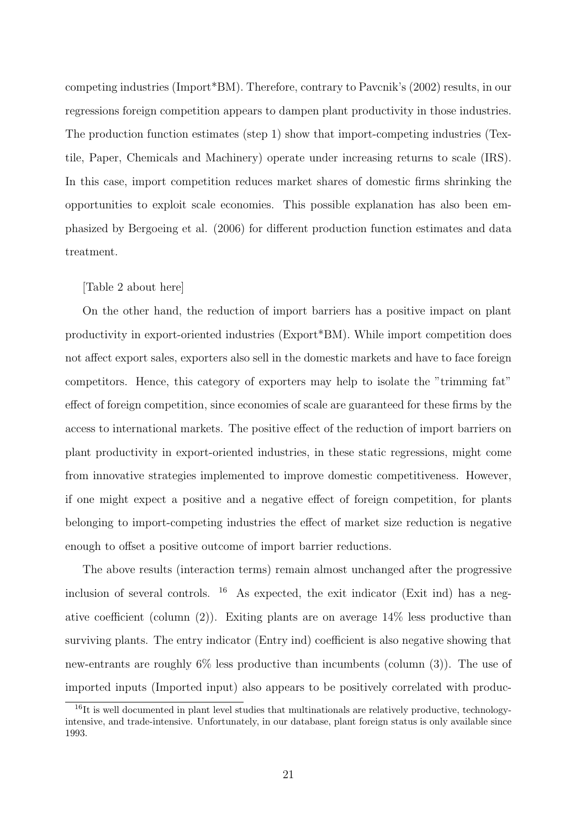competing industries (Import\*BM). Therefore, contrary to Pavcnik's (2002) results, in our regressions foreign competition appears to dampen plant productivity in those industries. The production function estimates (step 1) show that import-competing industries (Textile, Paper, Chemicals and Machinery) operate under increasing returns to scale (IRS). In this case, import competition reduces market shares of domestic firms shrinking the opportunities to exploit scale economies. This possible explanation has also been emphasized by Bergoeing et al. (2006) for different production function estimates and data treatment.

### [Table 2 about here]

On the other hand, the reduction of import barriers has a positive impact on plant productivity in export-oriented industries (Export\*BM). While import competition does not affect export sales, exporters also sell in the domestic markets and have to face foreign competitors. Hence, this category of exporters may help to isolate the "trimming fat" effect of foreign competition, since economies of scale are guaranteed for these firms by the access to international markets. The positive effect of the reduction of import barriers on plant productivity in export-oriented industries, in these static regressions, might come from innovative strategies implemented to improve domestic competitiveness. However, if one might expect a positive and a negative effect of foreign competition, for plants belonging to import-competing industries the effect of market size reduction is negative enough to offset a positive outcome of import barrier reductions.

The above results (interaction terms) remain almost unchanged after the progressive inclusion of several controls.  $16$  As expected, the exit indicator (Exit ind) has a negative coefficient (column  $(2)$ ). Exiting plants are on average  $14\%$  less productive than surviving plants. The entry indicator (Entry ind) coefficient is also negative showing that new-entrants are roughly 6% less productive than incumbents (column (3)). The use of imported inputs (Imported input) also appears to be positively correlated with produc-

 $16$ It is well documented in plant level studies that multinationals are relatively productive, technologyintensive, and trade-intensive. Unfortunately, in our database, plant foreign status is only available since 1993.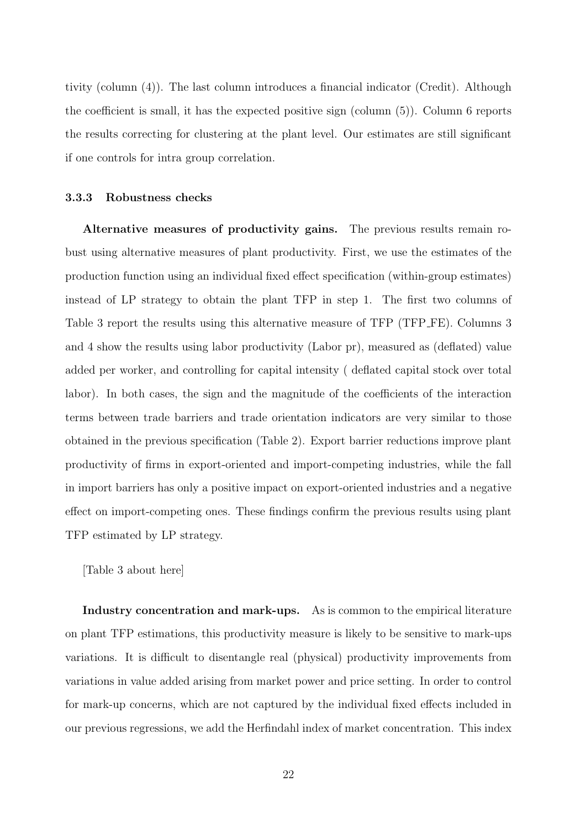tivity (column (4)). The last column introduces a financial indicator (Credit). Although the coefficient is small, it has the expected positive sign (column (5)). Column 6 reports the results correcting for clustering at the plant level. Our estimates are still significant if one controls for intra group correlation.

#### 3.3.3 Robustness checks

Alternative measures of productivity gains. The previous results remain robust using alternative measures of plant productivity. First, we use the estimates of the production function using an individual fixed effect specification (within-group estimates) instead of LP strategy to obtain the plant TFP in step 1. The first two columns of Table 3 report the results using this alternative measure of TFP (TFP FE). Columns 3 and 4 show the results using labor productivity (Labor pr), measured as (deflated) value added per worker, and controlling for capital intensity ( deflated capital stock over total labor). In both cases, the sign and the magnitude of the coefficients of the interaction terms between trade barriers and trade orientation indicators are very similar to those obtained in the previous specification (Table 2). Export barrier reductions improve plant productivity of firms in export-oriented and import-competing industries, while the fall in import barriers has only a positive impact on export-oriented industries and a negative effect on import-competing ones. These findings confirm the previous results using plant TFP estimated by LP strategy.

[Table 3 about here]

Industry concentration and mark-ups. As is common to the empirical literature on plant TFP estimations, this productivity measure is likely to be sensitive to mark-ups variations. It is difficult to disentangle real (physical) productivity improvements from variations in value added arising from market power and price setting. In order to control for mark-up concerns, which are not captured by the individual fixed effects included in our previous regressions, we add the Herfindahl index of market concentration. This index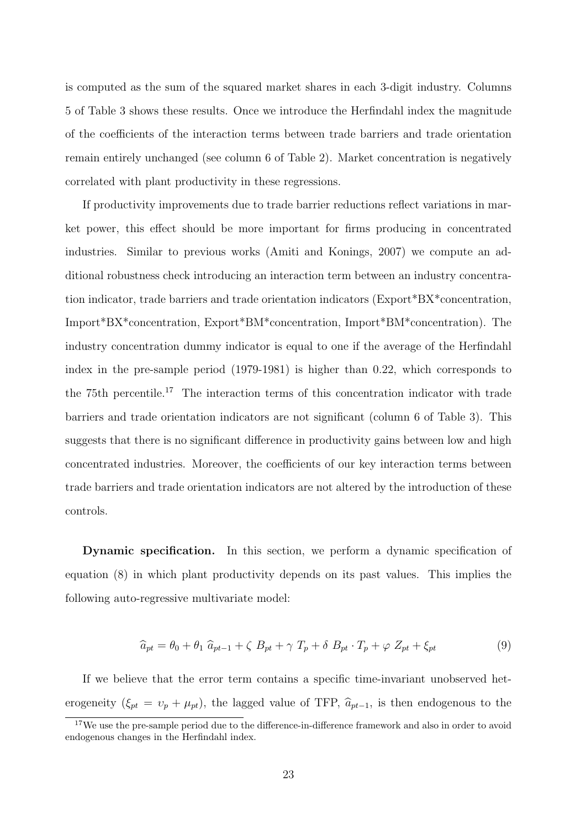is computed as the sum of the squared market shares in each 3-digit industry. Columns 5 of Table 3 shows these results. Once we introduce the Herfindahl index the magnitude of the coefficients of the interaction terms between trade barriers and trade orientation remain entirely unchanged (see column 6 of Table 2). Market concentration is negatively correlated with plant productivity in these regressions.

If productivity improvements due to trade barrier reductions reflect variations in market power, this effect should be more important for firms producing in concentrated industries. Similar to previous works (Amiti and Konings, 2007) we compute an additional robustness check introducing an interaction term between an industry concentration indicator, trade barriers and trade orientation indicators (Export\*BX\*concentration, Import\*BX\*concentration, Export\*BM\*concentration, Import\*BM\*concentration). The industry concentration dummy indicator is equal to one if the average of the Herfindahl index in the pre-sample period (1979-1981) is higher than 0.22, which corresponds to the 75th percentile.<sup>17</sup> The interaction terms of this concentration indicator with trade barriers and trade orientation indicators are not significant (column 6 of Table 3). This suggests that there is no significant difference in productivity gains between low and high concentrated industries. Moreover, the coefficients of our key interaction terms between trade barriers and trade orientation indicators are not altered by the introduction of these controls.

Dynamic specification. In this section, we perform a dynamic specification of equation (8) in which plant productivity depends on its past values. This implies the following auto-regressive multivariate model:

$$
\widehat{a}_{pt} = \theta_0 + \theta_1 \; \widehat{a}_{pt-1} + \zeta \; B_{pt} + \gamma \; T_p + \delta \; B_{pt} \cdot T_p + \varphi \; Z_{pt} + \xi_{pt} \tag{9}
$$

If we believe that the error term contains a specific time-invariant unobserved heterogeneity ( $\xi_{pt} = v_p + \mu_{pt}$ ), the lagged value of TFP,  $\hat{a}_{pt-1}$ , is then endogenous to the

<sup>&</sup>lt;sup>17</sup>We use the pre-sample period due to the difference-in-difference framework and also in order to avoid endogenous changes in the Herfindahl index.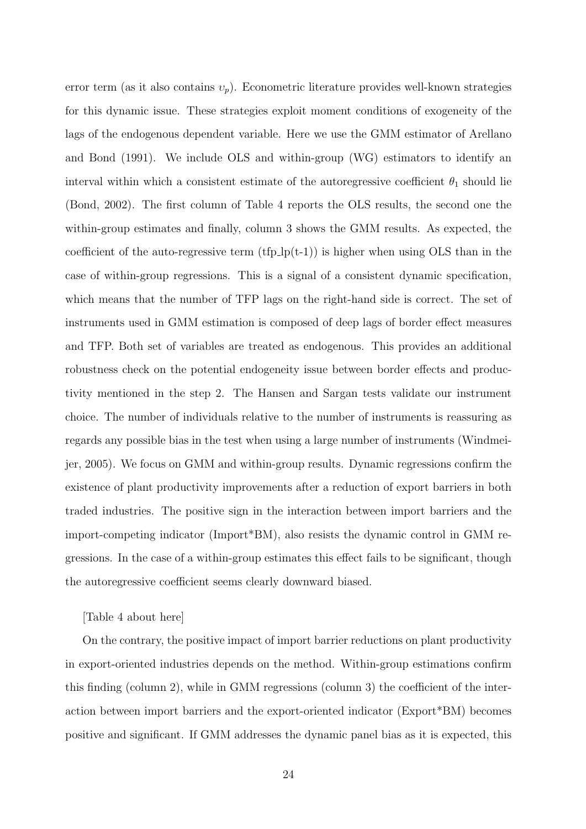error term (as it also contains  $v_p$ ). Econometric literature provides well-known strategies for this dynamic issue. These strategies exploit moment conditions of exogeneity of the lags of the endogenous dependent variable. Here we use the GMM estimator of Arellano and Bond (1991). We include OLS and within-group (WG) estimators to identify an interval within which a consistent estimate of the autoregressive coefficient  $\theta_1$  should lie (Bond, 2002). The first column of Table 4 reports the OLS results, the second one the within-group estimates and finally, column 3 shows the GMM results. As expected, the coefficient of the auto-regressive term  $(tfp\,\mathrm{lp}(t-1))$  is higher when using OLS than in the case of within-group regressions. This is a signal of a consistent dynamic specification, which means that the number of TFP lags on the right-hand side is correct. The set of instruments used in GMM estimation is composed of deep lags of border effect measures and TFP. Both set of variables are treated as endogenous. This provides an additional robustness check on the potential endogeneity issue between border effects and productivity mentioned in the step 2. The Hansen and Sargan tests validate our instrument choice. The number of individuals relative to the number of instruments is reassuring as regards any possible bias in the test when using a large number of instruments (Windmeijer, 2005). We focus on GMM and within-group results. Dynamic regressions confirm the existence of plant productivity improvements after a reduction of export barriers in both traded industries. The positive sign in the interaction between import barriers and the import-competing indicator (Import\*BM), also resists the dynamic control in GMM regressions. In the case of a within-group estimates this effect fails to be significant, though the autoregressive coefficient seems clearly downward biased.

### [Table 4 about here]

On the contrary, the positive impact of import barrier reductions on plant productivity in export-oriented industries depends on the method. Within-group estimations confirm this finding (column 2), while in GMM regressions (column 3) the coefficient of the interaction between import barriers and the export-oriented indicator (Export\*BM) becomes positive and significant. If GMM addresses the dynamic panel bias as it is expected, this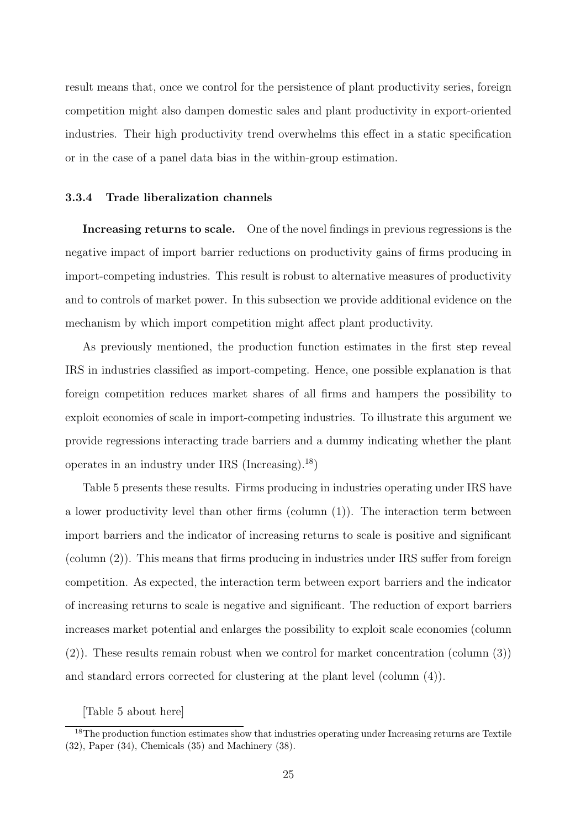result means that, once we control for the persistence of plant productivity series, foreign competition might also dampen domestic sales and plant productivity in export-oriented industries. Their high productivity trend overwhelms this effect in a static specification or in the case of a panel data bias in the within-group estimation.

#### 3.3.4 Trade liberalization channels

Increasing returns to scale. One of the novel findings in previous regressions is the negative impact of import barrier reductions on productivity gains of firms producing in import-competing industries. This result is robust to alternative measures of productivity and to controls of market power. In this subsection we provide additional evidence on the mechanism by which import competition might affect plant productivity.

As previously mentioned, the production function estimates in the first step reveal IRS in industries classified as import-competing. Hence, one possible explanation is that foreign competition reduces market shares of all firms and hampers the possibility to exploit economies of scale in import-competing industries. To illustrate this argument we provide regressions interacting trade barriers and a dummy indicating whether the plant operates in an industry under IRS (Increasing).<sup>18</sup>)

Table 5 presents these results. Firms producing in industries operating under IRS have a lower productivity level than other firms (column (1)). The interaction term between import barriers and the indicator of increasing returns to scale is positive and significant (column (2)). This means that firms producing in industries under IRS suffer from foreign competition. As expected, the interaction term between export barriers and the indicator of increasing returns to scale is negative and significant. The reduction of export barriers increases market potential and enlarges the possibility to exploit scale economies (column (2)). These results remain robust when we control for market concentration (column (3)) and standard errors corrected for clustering at the plant level (column (4)).

[Table 5 about here]

<sup>&</sup>lt;sup>18</sup>The production function estimates show that industries operating under Increasing returns are Textile (32), Paper (34), Chemicals (35) and Machinery (38).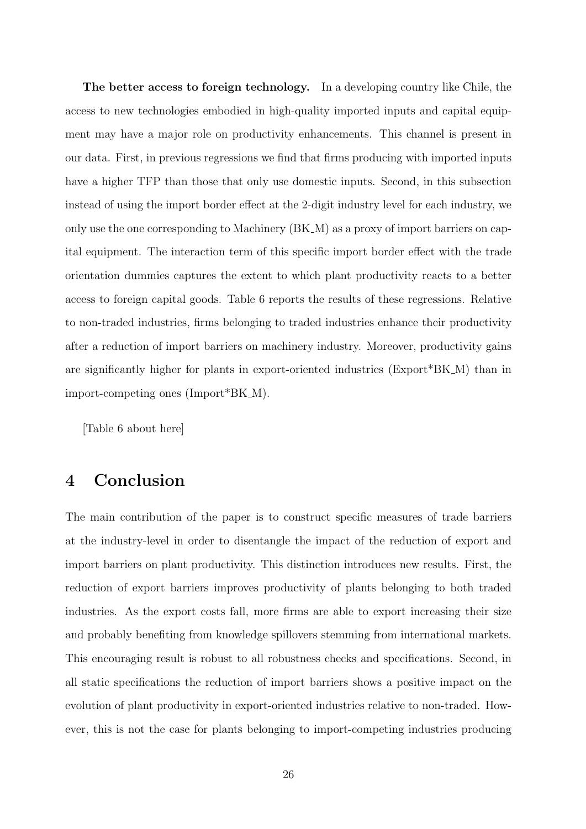The better access to foreign technology. In a developing country like Chile, the access to new technologies embodied in high-quality imported inputs and capital equipment may have a major role on productivity enhancements. This channel is present in our data. First, in previous regressions we find that firms producing with imported inputs have a higher TFP than those that only use domestic inputs. Second, in this subsection instead of using the import border effect at the 2-digit industry level for each industry, we only use the one corresponding to Machinery (BK M) as a proxy of import barriers on capital equipment. The interaction term of this specific import border effect with the trade orientation dummies captures the extent to which plant productivity reacts to a better access to foreign capital goods. Table 6 reports the results of these regressions. Relative to non-traded industries, firms belonging to traded industries enhance their productivity after a reduction of import barriers on machinery industry. Moreover, productivity gains are significantly higher for plants in export-oriented industries (Export\*BK M) than in import-competing ones (Import\*BK M).

[Table 6 about here]

## 4 Conclusion

The main contribution of the paper is to construct specific measures of trade barriers at the industry-level in order to disentangle the impact of the reduction of export and import barriers on plant productivity. This distinction introduces new results. First, the reduction of export barriers improves productivity of plants belonging to both traded industries. As the export costs fall, more firms are able to export increasing their size and probably benefiting from knowledge spillovers stemming from international markets. This encouraging result is robust to all robustness checks and specifications. Second, in all static specifications the reduction of import barriers shows a positive impact on the evolution of plant productivity in export-oriented industries relative to non-traded. However, this is not the case for plants belonging to import-competing industries producing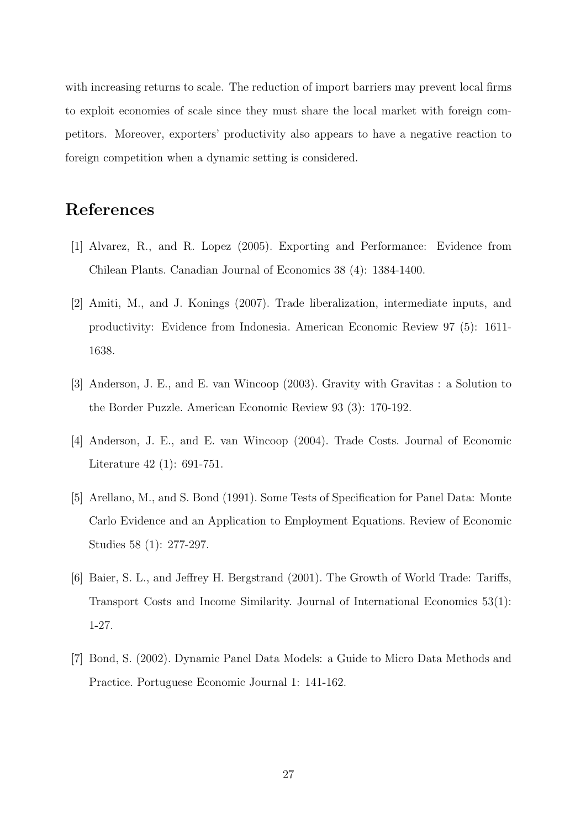with increasing returns to scale. The reduction of import barriers may prevent local firms to exploit economies of scale since they must share the local market with foreign competitors. Moreover, exporters' productivity also appears to have a negative reaction to foreign competition when a dynamic setting is considered.

## References

- [1] Alvarez, R., and R. Lopez (2005). Exporting and Performance: Evidence from Chilean Plants. Canadian Journal of Economics 38 (4): 1384-1400.
- [2] Amiti, M., and J. Konings (2007). Trade liberalization, intermediate inputs, and productivity: Evidence from Indonesia. American Economic Review 97 (5): 1611- 1638.
- [3] Anderson, J. E., and E. van Wincoop (2003). Gravity with Gravitas : a Solution to the Border Puzzle. American Economic Review 93 (3): 170-192.
- [4] Anderson, J. E., and E. van Wincoop (2004). Trade Costs. Journal of Economic Literature 42 (1): 691-751.
- [5] Arellano, M., and S. Bond (1991). Some Tests of Specification for Panel Data: Monte Carlo Evidence and an Application to Employment Equations. Review of Economic Studies 58 (1): 277-297.
- [6] Baier, S. L., and Jeffrey H. Bergstrand (2001). The Growth of World Trade: Tariffs, Transport Costs and Income Similarity. Journal of International Economics 53(1): 1-27.
- [7] Bond, S. (2002). Dynamic Panel Data Models: a Guide to Micro Data Methods and Practice. Portuguese Economic Journal 1: 141-162.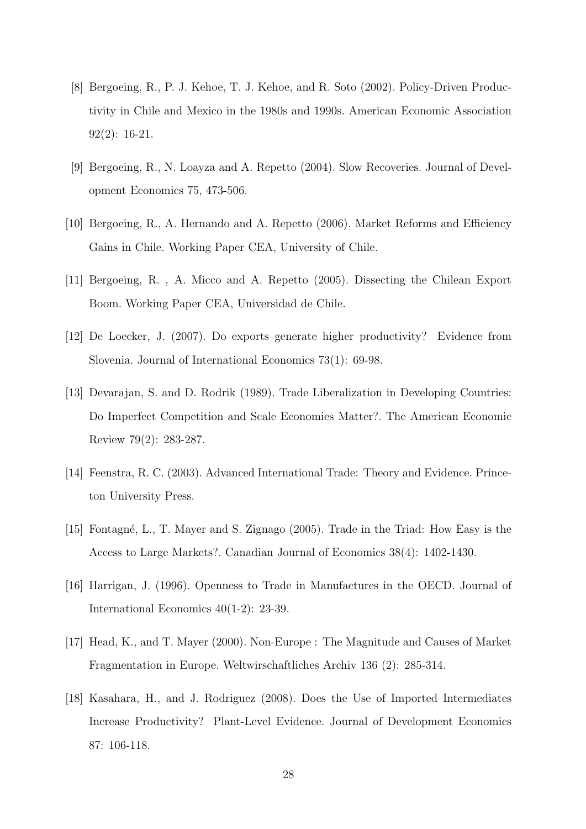- [8] Bergoeing, R., P. J. Kehoe, T. J. Kehoe, and R. Soto (2002). Policy-Driven Productivity in Chile and Mexico in the 1980s and 1990s. American Economic Association 92(2): 16-21.
- [9] Bergoeing, R., N. Loayza and A. Repetto (2004). Slow Recoveries. Journal of Development Economics 75, 473-506.
- [10] Bergoeing, R., A. Hernando and A. Repetto (2006). Market Reforms and Efficiency Gains in Chile. Working Paper CEA, University of Chile.
- [11] Bergoeing, R. , A. Micco and A. Repetto (2005). Dissecting the Chilean Export Boom. Working Paper CEA, Universidad de Chile.
- [12] De Loecker, J. (2007). Do exports generate higher productivity? Evidence from Slovenia. Journal of International Economics 73(1): 69-98.
- [13] Devarajan, S. and D. Rodrik (1989). Trade Liberalization in Developing Countries: Do Imperfect Competition and Scale Economies Matter?. The American Economic Review 79(2): 283-287.
- [14] Feenstra, R. C. (2003). Advanced International Trade: Theory and Evidence. Princeton University Press.
- [15] Fontagné, L., T. Mayer and S. Zignago (2005). Trade in the Triad: How Easy is the Access to Large Markets?. Canadian Journal of Economics 38(4): 1402-1430.
- [16] Harrigan, J. (1996). Openness to Trade in Manufactures in the OECD. Journal of International Economics 40(1-2): 23-39.
- [17] Head, K., and T. Mayer (2000). Non-Europe : The Magnitude and Causes of Market Fragmentation in Europe. Weltwirschaftliches Archiv 136 (2): 285-314.
- [18] Kasahara, H., and J. Rodriguez (2008). Does the Use of Imported Intermediates Increase Productivity? Plant-Level Evidence. Journal of Development Economics 87: 106-118.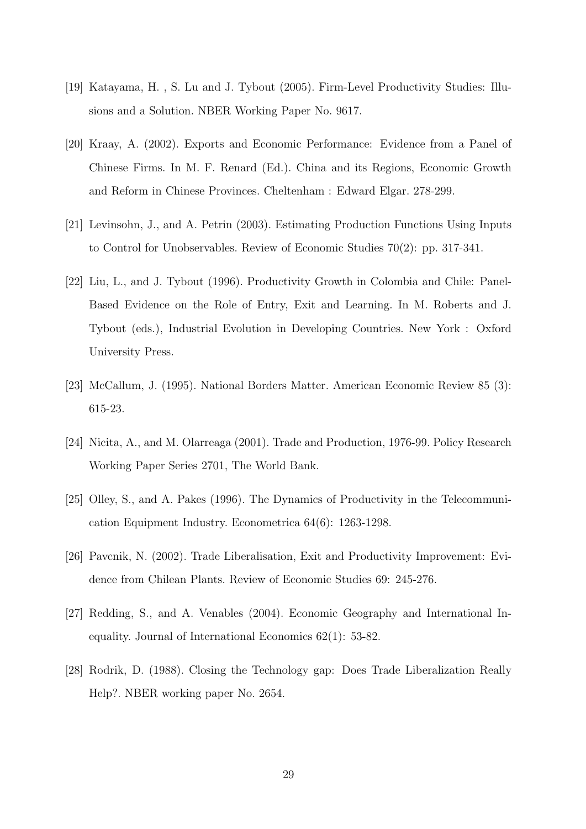- [19] Katayama, H. , S. Lu and J. Tybout (2005). Firm-Level Productivity Studies: Illusions and a Solution. NBER Working Paper No. 9617.
- [20] Kraay, A. (2002). Exports and Economic Performance: Evidence from a Panel of Chinese Firms. In M. F. Renard (Ed.). China and its Regions, Economic Growth and Reform in Chinese Provinces. Cheltenham : Edward Elgar. 278-299.
- [21] Levinsohn, J., and A. Petrin (2003). Estimating Production Functions Using Inputs to Control for Unobservables. Review of Economic Studies 70(2): pp. 317-341.
- [22] Liu, L., and J. Tybout (1996). Productivity Growth in Colombia and Chile: Panel-Based Evidence on the Role of Entry, Exit and Learning. In M. Roberts and J. Tybout (eds.), Industrial Evolution in Developing Countries. New York : Oxford University Press.
- [23] McCallum, J. (1995). National Borders Matter. American Economic Review 85 (3): 615-23.
- [24] Nicita, A., and M. Olarreaga (2001). Trade and Production, 1976-99. Policy Research Working Paper Series 2701, The World Bank.
- [25] Olley, S., and A. Pakes (1996). The Dynamics of Productivity in the Telecommunication Equipment Industry. Econometrica 64(6): 1263-1298.
- [26] Pavcnik, N. (2002). Trade Liberalisation, Exit and Productivity Improvement: Evidence from Chilean Plants. Review of Economic Studies 69: 245-276.
- [27] Redding, S., and A. Venables (2004). Economic Geography and International Inequality. Journal of International Economics 62(1): 53-82.
- [28] Rodrik, D. (1988). Closing the Technology gap: Does Trade Liberalization Really Help?. NBER working paper No. 2654.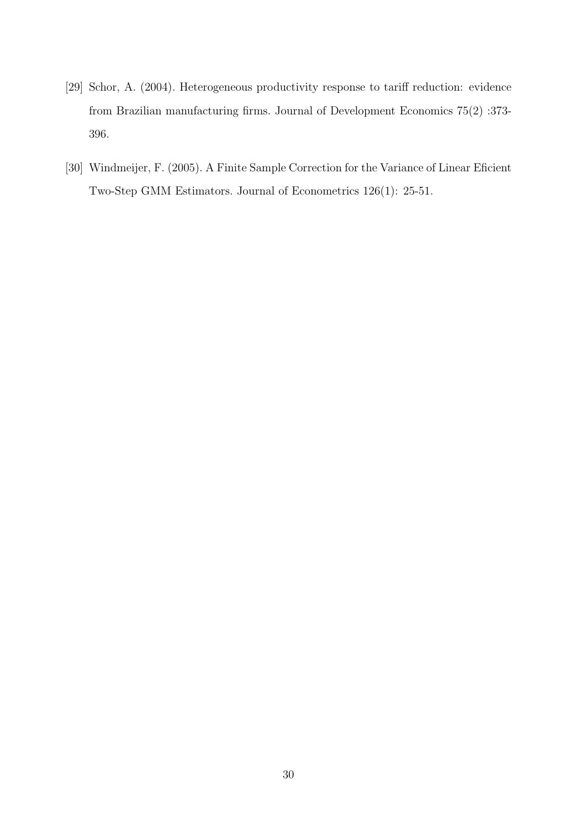- [29] Schor, A. (2004). Heterogeneous productivity response to tariff reduction: evidence from Brazilian manufacturing firms. Journal of Development Economics 75(2) :373- 396.
- [30] Windmeijer, F. (2005). A Finite Sample Correction for the Variance of Linear Eficient Two-Step GMM Estimators. Journal of Econometrics 126(1): 25-51.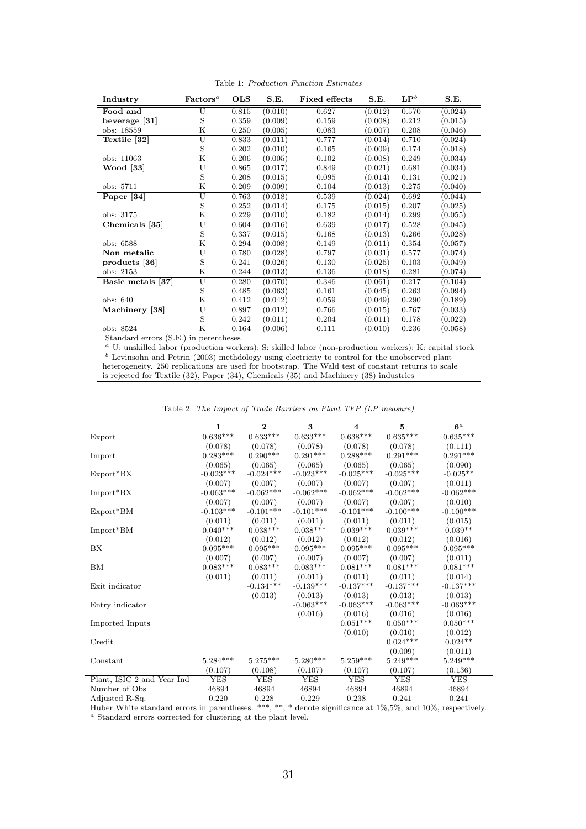| Industry          | $\mathbf{Factors}^a$    | <b>OLS</b> | S.E.    | <b>Fixed effects</b> | S.E.    | $\mathbf{LP}^b$ | S.E.    |
|-------------------|-------------------------|------------|---------|----------------------|---------|-----------------|---------|
| Food and          | U                       | 0.815      | (0.010) | 0.627                | (0.012) | 0.570           | (0.024) |
| beverage [31]     | S                       | 0.359      | (0.009) | 0.159                | (0.008) | 0.212           | (0.015) |
| obs: 18559        | Κ                       | 0.250      | (0.005) | 0.083                | (0.007) | 0.208           | (0.046) |
| Textile [32]      | U                       | 0.833      | (0.011) | 0.777                | (0.014) | 0.710           | (0.024) |
|                   | S                       | 0.202      | (0.010) | 0.165                | (0.009) | 0.174           | (0.018) |
| obs: 11063        | Κ                       | 0.206      | (0.005) | 0.102                | (0.008) | 0.249           | (0.034) |
| <b>Wood</b> [33]  | U                       | 0.865      | (0.017) | 0.849                | (0.021) | 0.681           | (0.034) |
|                   | S                       | 0.208      | (0.015) | 0.095                | (0.014) | 0.131           | (0.021) |
| obs: 5711         | Κ                       | 0.209      | (0.009) | 0.104                | (0.013) | 0.275           | (0.040) |
| Paper [34]        | Ū                       | 0.763      | (0.018) | 0.539                | (0.024) | 0.692           | (0.044) |
|                   | S                       | 0.252      | (0.014) | 0.175                | (0.015) | 0.207           | (0.025) |
| obs: 3175         | Κ                       | 0.229      | (0.010) | 0.182                | (0.014) | 0.299           | (0.055) |
| Chemicals [35]    | U                       | 0.604      | (0.016) | 0.639                | (0.017) | 0.528           | (0.045) |
|                   | S                       | 0.337      | (0.015) | 0.168                | (0.013) | 0.266           | (0.028) |
| obs: 6588         | Κ                       | 0.294      | (0.008) | 0.149                | (0.011) | 0.354           | (0.057) |
| Non metalic       | $\overline{\mathrm{U}}$ | 0.780      | (0.028) | 0.797                | (0.031) | 0.577           | (0.074) |
| products [36]     | S                       | 0.241      | (0.026) | 0.130                | (0.025) | 0.103           | (0.049) |
| obs: 2153         | Κ                       | 0.244      | (0.013) | 0.136                | (0.018) | 0.281           | (0.074) |
| Basic metals [37] | $\overline{\mathrm{U}}$ | 0.280      | (0.070) | 0.346                | (0.061) | 0.217           | (0.104) |
|                   | S                       | 0.485      | (0.063) | 0.161                | (0.045) | 0.263           | (0.094) |
| obs: 640          | Κ                       | 0.412      | (0.042) | 0.059                | (0.049) | 0.290           | (0.189) |
| Machinery [38]    | U                       | 0.897      | (0.012) | 0.766                | (0.015) | 0.767           | (0.033) |
|                   | S                       | 0.242      | (0.011) | 0.204                | (0.011) | 0.178           | (0.022) |
| obs: 8524         | Κ                       | 0.164      | (0.006) | 0.111                | (0.010) | 0.236           | (0.058) |

Table 1: Production Function Estimates

Standard errors (S.E.) in perentheses

<sup>a</sup> U: unskilled labor (production workers); S: skilled labor (non-production workers); K: capital stock b Levinsohn and Petrin (2003) methdology using electricity to control for the unobserved plant heterogeneity. 250 replications are used for bootstrap. The Wald test of constant returns to scale is rejected for Textile (32), Paper (34), Chemicals (35) and Machinery (38) industries

|  |  |  |  |  |  | Table 2: The Impact of Trade Barriers on Plant TFP (LP measure) |  |  |  |
|--|--|--|--|--|--|-----------------------------------------------------------------|--|--|--|
|--|--|--|--|--|--|-----------------------------------------------------------------|--|--|--|

|                            | 1           | $\overline{2}$ | $\overline{\mathbf{3}}$ | $\overline{\mathbf{4}}$ | $\overline{5}$ | 6 <sup>a</sup> |
|----------------------------|-------------|----------------|-------------------------|-------------------------|----------------|----------------|
| Export                     | $0.636***$  | $0.633***$     | $0.633***$              | $0.638***$              | $0.635***$     | $0.635***$     |
|                            | (0.078)     | (0.078)        | (0.078)                 | (0.078)                 | (0.078)        | (0.111)        |
| Import                     | $0.283***$  | $0.290***$     | $0.291***$              | $0.288***$              | $0.291***$     | $0.291***$     |
|                            | (0.065)     | (0.065)        | (0.065)                 | (0.065)                 | (0.065)        | (0.090)        |
| $Export*BX$                | $-0.023***$ | $-0.024***$    | $-0.023***$             | $-0.025***$             | $-0.025***$    | $-0.025**$     |
|                            | (0.007)     | (0.007)        | (0.007)                 | (0.007)                 | (0.007)        | (0.011)        |
| Import*BX                  | $-0.063***$ | $-0.062***$    | $-0.062***$             | $-0.062***$             | $-0.062***$    | $-0.062***$    |
|                            | (0.007)     | (0.007)        | (0.007)                 | (0.007)                 | (0.007)        | (0.010)        |
| Export*BM                  | $-0.103***$ | $-0.101***$    | $-0.101***$             | $-0.101***$             | $-0.100***$    | $-0.100***$    |
|                            | (0.011)     | (0.011)        | (0.011)                 | (0.011)                 | (0.011)        | (0.015)        |
| $Import^*BM$               | $0.040***$  | $0.038***$     | $0.038***$              | $0.039***$              | $0.039***$     | $0.039**$      |
|                            | (0.012)     | (0.012)        | (0.012)                 | (0.012)                 | (0.012)        | (0.016)        |
| BX                         | $0.095***$  | $0.095***$     | $0.095***$              | $0.095***$              | $0.095***$     | $0.095***$     |
|                            | (0.007)     | (0.007)        | (0.007)                 | (0.007)                 | (0.007)        | (0.011)        |
| BM                         | $0.083***$  | $0.083***$     | $0.083***$              | $0.081***$              | $0.081***$     | $0.081***$     |
|                            | (0.011)     | (0.011)        | (0.011)                 | (0.011)                 | (0.011)        | (0.014)        |
| Exit indicator             |             | $-0.134***$    | $-0.139***$             | $-0.137***$             | $-0.137***$    | $-0.137***$    |
|                            |             | (0.013)        | (0.013)                 | (0.013)                 | (0.013)        | (0.013)        |
| Entry indicator            |             |                | $-0.063***$             | $-0.063***$             | $-0.063***$    | $-0.063***$    |
|                            |             |                | (0.016)                 | (0.016)                 | (0.016)        | (0.016)        |
| Imported Inputs            |             |                |                         | $0.051***$              | $0.050***$     | $0.050***$     |
|                            |             |                |                         | (0.010)                 | (0.010)        | (0.012)        |
| Credit                     |             |                |                         |                         | $0.024***$     | $0.024**$      |
|                            |             |                |                         |                         | (0.009)        | (0.011)        |
| Constant                   | $5.284***$  | $5.275***$     | $5.280***$              | $5.259***$              | $5.249***$     | $5.249***$     |
|                            | (0.107)     | (0.108)        | (0.107)                 | (0.107)                 | (0.107)        | (0.136)        |
| Plant, ISIC 2 and Year Ind | <b>YES</b>  | <b>YES</b>     | <b>YES</b>              | <b>YES</b>              | <b>YES</b>     | <b>YES</b>     |
| Number of Obs              | 46894       | 46894          | 46894                   | 46894                   | 46894          | 46894          |
| Adjusted R-Sq.             | 0.220       | 0.228          | 0.229                   | 0.238                   | 0.241          | 0.241          |

Huber White standard errors in parentheses. \*\*\*, \*\*, \* denote significance at 1%,5%, and 10%, respectively.

<sup>a</sup> Standard errors corrected for clustering at the plant level.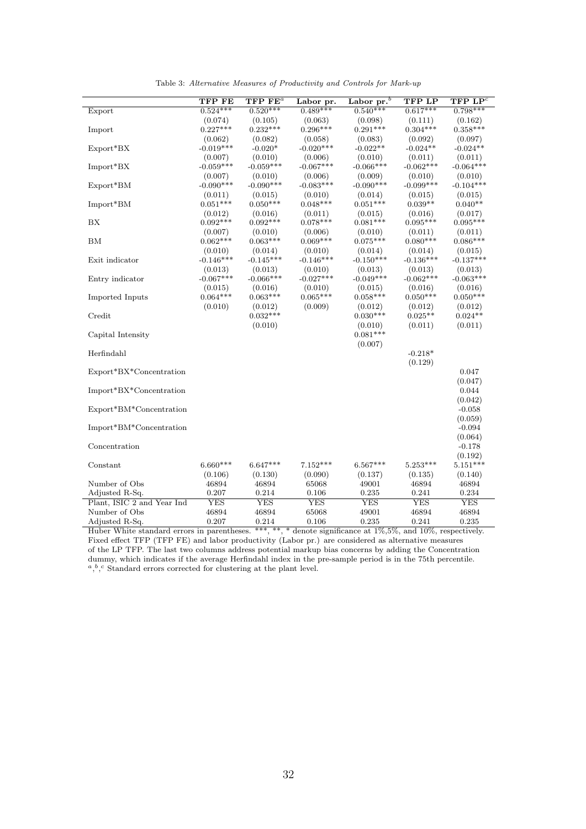|                            | <b>TFP FE</b>         | $TFP$ $FEa$           | Labor pr.             | Labor pr. $b$         | <b>TFP LP</b>         | $TFP$ $LPc$           |
|----------------------------|-----------------------|-----------------------|-----------------------|-----------------------|-----------------------|-----------------------|
| Export                     | $0.524***$            | $0.520***$            | $0.489***$            | $0.540***$            | $0.617***$            | $0.798***$            |
|                            | (0.074)               | (0.105)               | (0.063)               | (0.098)               | (0.111)               | (0.162)               |
| Import                     | $0.227***$            | $0.232***$            | $0.296***$            | $0.291***$            | $0.304***$            | $0.358***$            |
|                            | (0.062)               | (0.082)               | (0.058)               | (0.083)               | (0.092)               | (0.097)               |
| $Export*BX$                | $-0.019***$           | $-0.020*$             | $-0.020***$           | $-0.022**$            | $-0.024**$            | $-0.024**$            |
|                            | (0.007)               | (0.010)               | (0.006)               | (0.010)               | (0.011)               | (0.011)               |
| $Import^*BX$               | $-0.059***$           | $-0.059***$           | $-0.067***$           | $-0.066***$           | $-0.062***$           | $-0.064***$           |
|                            | (0.007)               | (0.010)               | (0.006)               | (0.009)               | (0.010)               | (0.010)               |
| $Export*BM$                | $-0.090***$           | $-0.090***$           | $-0.083***$           | $-0.090***$           | $-0.099***$           | $-0.104***$           |
|                            | (0.011)               | (0.015)               | (0.010)               | (0.014)               | (0.015)               | (0.015)               |
| Import*BM                  | $0.051***$            | $0.050***$            | $0.048***$            | $0.051***$            | $0.039**$             | $0.040**$             |
|                            | (0.012)<br>$0.092***$ | (0.016)<br>$0.092***$ | (0.011)<br>$0.078***$ | (0.015)<br>$0.081***$ | (0.016)<br>$0.095***$ | (0.017)<br>$0.095***$ |
| BX                         | (0.007)               | (0.010)               | (0.006)               | (0.010)               | (0.011)               | (0.011)               |
| BM                         | $0.062***$            | $0.063***$            | $0.069***$            | $0.075***$            | $0.080***$            | $0.086***$            |
|                            | (0.010)               | (0.014)               | (0.010)               | (0.014)               | (0.014)               | (0.015)               |
| Exit indicator             | $-0.146***$           | $-0.145***$           | $-0.146***$           | $-0.150***$           | $-0.136***$           | $-0.137***$           |
|                            | (0.013)               | (0.013)               | (0.010)               | (0.013)               | (0.013)               | (0.013)               |
| Entry indicator            | $-0.067***$           | $-0.066***$           | $-0.027***$           | $-0.049***$           | $-0.062***$           | $-0.063***$           |
|                            | (0.015)               | (0.016)               | (0.010)               | (0.015)               | (0.016)               | (0.016)               |
| Imported Inputs            | $0.064***$            | $0.063***$            | $0.065***$            | $0.058***$            | $0.050***$            | $0.050***$            |
|                            | (0.010)               | (0.012)               | (0.009)               | (0.012)               | (0.012)               | (0.012)               |
| Credit                     |                       | $0.032***$            |                       | $0.030***$            | $0.025**$             | $0.024**$             |
|                            |                       | (0.010)               |                       | (0.010)               | (0.011)               | (0.011)               |
| Capital Intensity          |                       |                       |                       | $0.081***$            |                       |                       |
|                            |                       |                       |                       | (0.007)               |                       |                       |
| Herfindahl                 |                       |                       |                       |                       | $-0.218*$             |                       |
|                            |                       |                       |                       |                       | (0.129)               |                       |
| Export*BX*Concentration    |                       |                       |                       |                       |                       | 0.047                 |
|                            |                       |                       |                       |                       |                       | (0.047)               |
| Import*BX*Concentration    |                       |                       |                       |                       |                       | 0.044                 |
|                            |                       |                       |                       |                       |                       | (0.042)               |
| Export*BM*Concentration    |                       |                       |                       |                       |                       | $-0.058$<br>(0.059)   |
| Import*BM*Concentration    |                       |                       |                       |                       |                       | $-0.094$              |
|                            |                       |                       |                       |                       |                       | (0.064)               |
| Concentration              |                       |                       |                       |                       |                       | $-0.178$              |
|                            |                       |                       |                       |                       |                       | (0.192)               |
| Constant                   | $6.660***$            | $6.647***$            | $7.152***$            | $6.567***$            | $5.253***$            | $5.151***$            |
|                            | (0.106)               | (0.130)               | (0.090)               | (0.137)               | (0.135)               | (0.140)               |
| Number of Obs              | 46894                 | 46894                 | 65068                 | 49001                 | 46894                 | 46894                 |
| Adjusted R-Sq.             | 0.207                 | 0.214                 | 0.106                 | 0.235                 | 0.241                 | 0.234                 |
| Plant, ISIC 2 and Year Ind | <b>YES</b>            | <b>YES</b>            | <b>YES</b>            | <b>YES</b>            | <b>YES</b>            | <b>YES</b>            |
| Number of Obs              | 46894                 | 46894                 | 65068                 | 49001                 | 46894                 | 46894                 |
| Adjusted R-Sq.             | 0.207                 | 0.214                 | 0.106                 | 0.235                 | 0.241                 | 0.235                 |

Table 3: Alternative Measures of Productivity and Controls for Mark-up

Huber White standard errors in parentheses. \*\*\*, \*\*, \* denote significance at 1%,5%, and 10%, respectively. Fixed effect TFP (TFP FE) and labor productivity (Labor pr.) are considered as alternative measures of the LP TFP. The last two columns address potential markup bias concerns by adding the Concentration dummy, which indicates if the average Herfindahl index in the pre-sample period is in the 75th percentile.  $a, b, c$  Standard errors corrected for clustering at the plant level.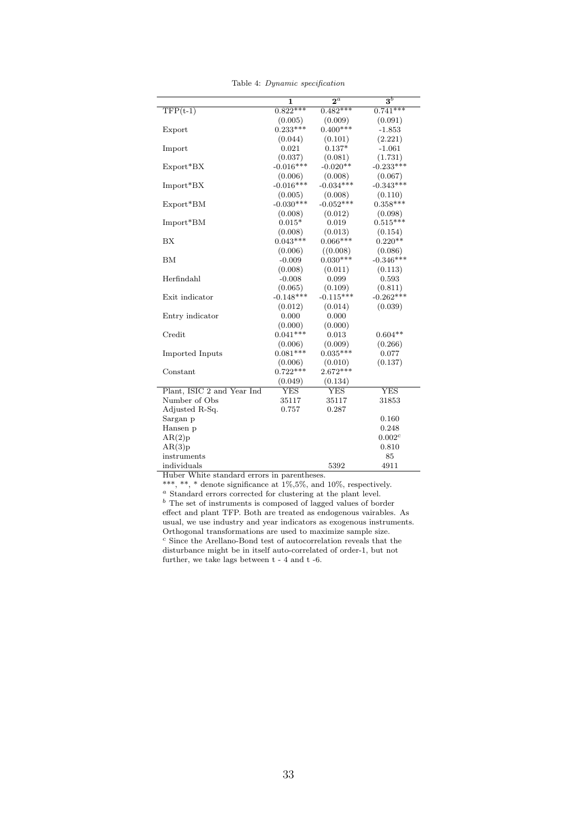|  | Table 4: Dynamic specification |
|--|--------------------------------|
|  |                                |

|                            | 1           | $2^a$          | $\overline{\mathbf{3}^b}$ |
|----------------------------|-------------|----------------|---------------------------|
| $TFP(t-1)$                 | $0.822***$  | $0.482***$     | $0.741***$                |
|                            | (0.005)     | (0.009)        | (0.091)                   |
| Export                     | $0.233***$  | $0.400***$     | $-1.853$                  |
|                            | (0.044)     | (0.101)        | (2.221)                   |
| Import                     | 0.021       | $0.137*$       | $-1.061$                  |
|                            | (0.037)     | (0.081)        | (1.731)                   |
| Export*BX                  | $-0.016***$ | $-0.020**$     | $-0.233***$               |
|                            | (0.006)     | (0.008)        | (0.067)                   |
| $Import^*BX$               | $-0.016***$ | $-0.034***$    | $-0.343***$               |
|                            | (0.005)     | (0.008)        | (0.110)                   |
| Export*BM                  | $-0.030***$ | $-0.052***$    | $0.358***$                |
|                            | (0.008)     | (0.012)        | (0.098)                   |
| Import*BM                  | $0.015*$    | 0.019          | $0.515***$                |
|                            | (0.008)     | (0.013)        | (0.154)                   |
| <b>BX</b>                  | $0.043***$  | $0.066***$     | $0.220**$                 |
|                            | (0.006)     | ((0.008)       | (0.086)                   |
| BM                         | $-0.009$    | $0.030***$     | $-0.346***$               |
|                            | (0.008)     | (0.011)        | (0.113)                   |
| Herfindahl                 | $-0.008$    | 0.099          | 0.593                     |
|                            | (0.065)     | (0.109)        | (0.811)                   |
| Exit indicator             | $-0.148***$ | $-0.115***$    | $-0.262***$               |
|                            | (0.012)     | (0.014)        | (0.039)                   |
| Entry indicator            | 0.000       | 0.000          |                           |
|                            | (0.000)     | (0.000)        |                           |
| Credit                     | $0.041***$  | 0.013          | $0.604**$                 |
|                            | (0.006)     | (0.009)        | (0.266)                   |
| Imported Inputs            | $0.081***$  | $0.035***$     | 0.077                     |
|                            | (0.006)     | (0.010)        | (0.137)                   |
| Constant                   | $0.722***$  | $2.672***$     |                           |
|                            | (0.049)     | (0.134)        |                           |
| Plant, ISIC 2 and Year Ind | YES         | $\textrm{YES}$ | YES                       |
| Number of Obs              | 35117       | 35117          | 31853                     |
| Adjusted R-Sq.             | 0.757       | 0.287          |                           |
| Sargan p                   |             |                | 0.160                     |
| Hansen p                   |             |                | 0.248                     |
| AR(2)p                     |             |                | $0.002^c$                 |
| AR(3)p                     |             |                | 0.810                     |
| instruments                |             |                | 85                        |
| individuals                |             | 5392           | 4911                      |

Huber White standard errors in parentheses.

\*\*\*, \*\*, \* denote significance at  $1\%, 5\%$ , and  $10\%$ , respectively.

<sup>a</sup> Standard errors corrected for clustering at the plant level.  $\stackrel{b}{ }$  The set of instruments is composed of lagged values of border effect and plant TFP. Both are treated as endogenous vairables. As usual, we use industry and year indicators as exogenous instruments. Orthogonal transformations are used to maximize sample size.  $^c$  Since the Arellano-Bond test of autocorrelation reveals that the  $\,$ disturbance might be in itself auto-correlated of order-1, but not further, we take lags between t - 4 and t -6.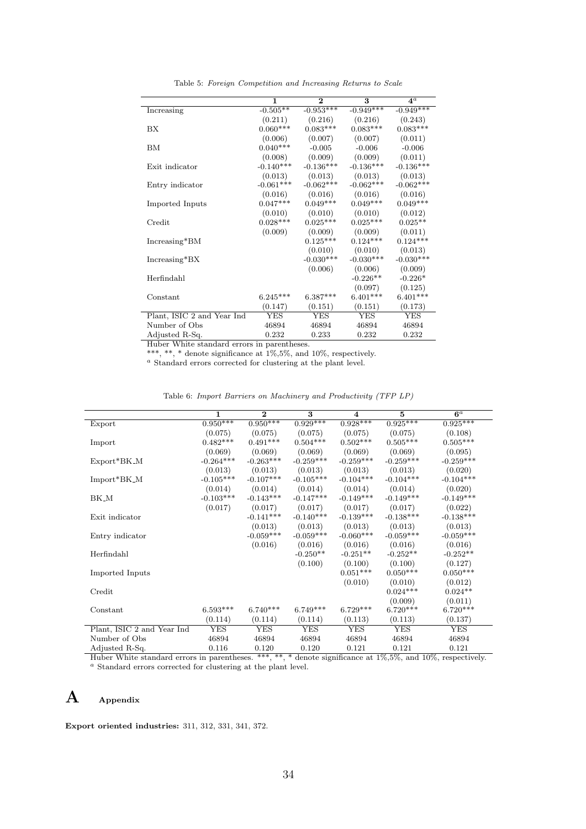Table 5: Foreign Competition and Increasing Returns to Scale

|                            | $\mathbf{1}$ | $\overline{2}$  | 3           | $4^a$       |
|----------------------------|--------------|-----------------|-------------|-------------|
| Increasing                 | $-0.505**$   | $-0.953***$     | $-0.949***$ | $-0.949***$ |
|                            | (0.211)      | (0.216)         | (0.216)     | (0.243)     |
| BX                         | $0.060***$   | $0.083***$      | $0.083***$  | $0.083***$  |
|                            | (0.006)      | (0.007)         | (0.007)     | (0.011)     |
| BM                         | $0.040***$   | $-0.005$        | $-0.006$    | $-0.006$    |
|                            | (0.008)      | (0.009)         | (0.009)     | (0.011)     |
| Exit indicator             | $-0.140***$  | $-0.136***$     | $-0.136***$ | $-0.136***$ |
|                            | (0.013)      | (0.013)         | (0.013)     | (0.013)     |
| Entry indicator            | $-0.061***$  | $-0.062***$     | $-0.062***$ | $-0.062***$ |
|                            | (0.016)      | (0.016)         | (0.016)     | (0.016)     |
| Imported Inputs            | $0.047***$   | $0.049***$      | $0.049***$  | $0.049***$  |
|                            | (0.010)      | (0.010)         | (0.010)     | (0.012)     |
| Credit                     | $0.028***$   | $0.025^{***}\,$ | $0.025***$  | $0.025**$   |
|                            | (0.009)      | (0.009)         | (0.009)     | (0.011)     |
| Increasing*BM              |              | $0.125***$      | $0.124***$  | $0.124***$  |
|                            |              | (0.010)         | (0.010)     | (0.013)     |
| Increasing*BX              |              | $-0.030***$     | $-0.030***$ | $-0.030***$ |
|                            |              | (0.006)         | (0.006)     | (0.009)     |
| Herfindahl                 |              |                 | $-0.226**$  | $-0.226*$   |
|                            |              |                 | (0.097)     | (0.125)     |
| Constant                   | $6.245***$   | $6.387***$      | $6.401***$  | $6.401***$  |
|                            | (0.147)      | (0.151)         | (0.151)     | (0.173)     |
| Plant, ISIC 2 and Year Ind | YES          | YES             | <b>YES</b>  | YES         |
| Number of Obs              | 46894        | 46894           | 46894       | 46894       |
| Adjusted R-Sq.             | 0.232        | 0.233           | 0.232       | 0.232       |

Huber White standard errors in parentheses.

\*\*\*, \*\*, \* denote significance at 1%,5%, and 10%, respectively.

<sup>a</sup> Standard errors corrected for clustering at the plant level.

| Table 6: Import Barriers on Machinery and Productivity (TFP LP) |  |  |  |  |  |  |  |  |  |  |
|-----------------------------------------------------------------|--|--|--|--|--|--|--|--|--|--|
|-----------------------------------------------------------------|--|--|--|--|--|--|--|--|--|--|

|                            | $\mathbf{1}$ | $\overline{2}$ | $\overline{\mathbf{3}}$ | $\overline{\mathbf{4}}$ | $\overline{5}$ | $6^a$       |
|----------------------------|--------------|----------------|-------------------------|-------------------------|----------------|-------------|
| Export                     | $0.950***$   | $0.950***$     | $0.929***$              | $0.928***$              | $0.925***$     | $0.925***$  |
|                            | (0.075)      | (0.075)        | (0.075)                 | (0.075)                 | (0.075)        | (0.108)     |
| Import                     | $0.482***$   | $0.491***$     | $0.504***$              | $0.502***$              | $0.505***$     | $0.505***$  |
|                            | (0.069)      | (0.069)        | (0.069)                 | (0.069)                 | (0.069)        | (0.095)     |
| $Export*BK_M$              | $-0.264***$  | $-0.263***$    | $-0.259***$             | $-0.259***$             | $-0.259***$    | $-0.259***$ |
|                            | (0.013)      | (0.013)        | (0.013)                 | (0.013)                 | (0.013)        | (0.020)     |
| $Import*BK_M$              | $-0.105***$  | $-0.107***$    | $-0.105***$             | $-0.104***$             | $-0.104***$    | $-0.104***$ |
|                            | (0.014)      | (0.014)        | (0.014)                 | (0.014)                 | (0.014)        | (0.020)     |
| BK_M                       | $-0.103***$  | $-0.143***$    | $-0.147***$             | $-0.149***$             | $-0.149***$    | $-0.149***$ |
|                            | (0.017)      | (0.017)        | (0.017)                 | (0.017)                 | (0.017)        | (0.022)     |
| Exit indicator             |              | $-0.141***$    | $-0.140***$             | $-0.139***$             | $-0.138***$    | $-0.138***$ |
|                            |              | (0.013)        | (0.013)                 | (0.013)                 | (0.013)        | (0.013)     |
| Entry indicator            |              | $-0.059***$    | $-0.059***$             | $-0.060***$             | $-0.059***$    | $-0.059***$ |
|                            |              | (0.016)        | (0.016)                 | (0.016)                 | (0.016)        | (0.016)     |
| Herfindahl                 |              |                | $-0.250**$              | $-0.251**$              | $-0.252**$     | $-0.252**$  |
|                            |              |                | (0.100)                 | (0.100)                 | (0.100)        | (0.127)     |
| Imported Inputs            |              |                |                         | $0.051***$              | $0.050***$     | $0.050***$  |
|                            |              |                |                         | (0.010)                 | (0.010)        | (0.012)     |
| Credit                     |              |                |                         |                         | $0.024***$     | $0.024**$   |
|                            |              |                |                         |                         | (0.009)        | (0.011)     |
| Constant                   | $6.593***$   | $6.740***$     | $6.749***$              | $6.729***$              | $6.720***$     | $6.720***$  |
|                            | (0.114)      | (0.114)        | (0.114)                 | (0.113)                 | (0.113)        | (0.137)     |
| Plant, ISIC 2 and Year Ind | <b>YES</b>   | <b>YES</b>     | <b>YES</b>              | YES                     | <b>YES</b>     | YES         |
| Number of Obs              | 46894        | 46894          | 46894                   | 46894                   | 46894          | 46894       |
| Adjusted R-Sq.             | 0.116        | 0.120          | 0.120                   | 0.121                   | 0.121          | 0.121       |

Huber White standard errors in parentheses. \*\*\*, \*\*, \* denote significance at 1%,5%, and 10%, respectively. <sup>a</sup> Standard errors corrected for clustering at the plant level.

### A Appendix

Export oriented industries: 311, 312, 331, 341, 372.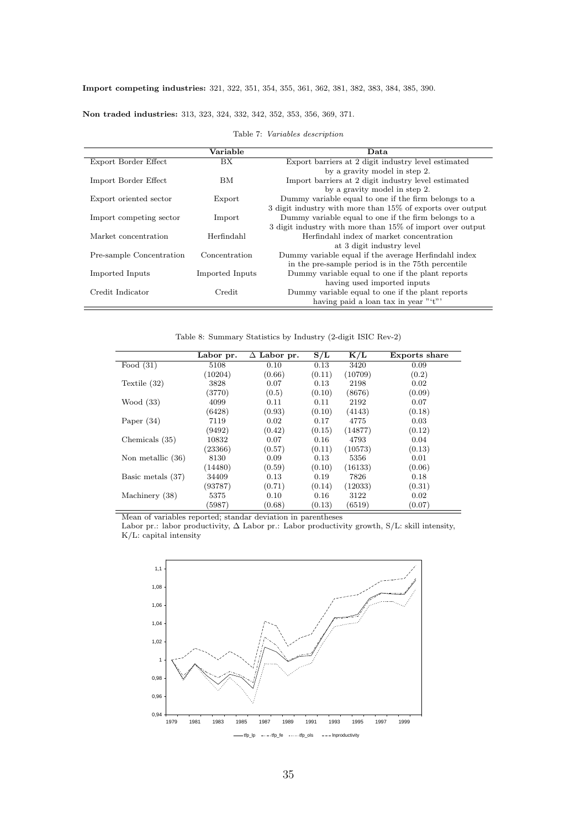#### Non traded industries: 313, 323, 324, 332, 342, 352, 353, 356, 369, 371.

#### Table 7: Variables description

|                          | Variable        | Data                                                       |
|--------------------------|-----------------|------------------------------------------------------------|
| Export Border Effect     | BX.             | Export barriers at 2 digit industry level estimated        |
|                          |                 | by a gravity model in step 2.                              |
| Import Border Effect     | BМ              | Import barriers at 2 digit industry level estimated        |
|                          |                 | by a gravity model in step 2.                              |
| Export oriented sector   | Export          | Dummy variable equal to one if the firm belongs to a       |
|                          |                 | 3 digit industry with more than 15% of exports over output |
| Import competing sector  | Import          | Dummy variable equal to one if the firm belongs to a       |
|                          |                 | 3 digit industry with more than 15% of import over output  |
| Market concentration     | Herfindahl      | Herfindahl index of market concentration                   |
|                          |                 | at 3 digit industry level                                  |
| Pre-sample Concentration | Concentration   | Dummy variable equal if the average Herfindahl index       |
|                          |                 | in the pre-sample period is in the 75th percentile         |
| Imported Inputs          | Imported Inputs | Dummy variable equal to one if the plant reports           |
|                          |                 | having used imported inputs                                |
| Credit Indicator         | Credit          | Dummy variable equal to one if the plant reports           |
|                          |                 | having paid a loan tax in year "'t"'                       |

Table 8: Summary Statistics by Industry (2-digit ISIC Rev-2)

|                   | Labor pr. | $\Delta$ Labor pr. | S/L    | K/L     | <b>Exports share</b> |
|-------------------|-----------|--------------------|--------|---------|----------------------|
| Food $(31)$       | 5108      | 0.10               | 0.13   | 3420    | 0.09                 |
|                   | (10204)   | (0.66)             | (0.11) | (10709) | (0.2)                |
| Textile $(32)$    | 3828      | 0.07               | 0.13   | 2198    | 0.02                 |
|                   | (3770)    | (0.5)              | (0.10) | (8676)  | (0.09)               |
| Wood $(33)$       | 4099      | 0.11               | 0.11   | 2192    | 0.07                 |
|                   | (6428)    | (0.93)             | (0.10) | (4143)  | (0.18)               |
| Paper $(34)$      | 7119      | 0.02               | 0.17   | 4775    | 0.03                 |
|                   | (9492)    | (0.42)             | (0.15) | (14877) | (0.12)               |
| Chemicals (35)    | 10832     | 0.07               | 0.16   | 4793    | 0.04                 |
|                   | (23366)   | (0.57)             | (0.11) | (10573) | (0.13)               |
| Non metallic (36) | 8130      | 0.09               | 0.13   | 5356    | 0.01                 |
|                   | (14480)   | (0.59)             | (0.10) | (16133) | (0.06)               |
| Basic metals (37) | 34409     | 0.13               | 0.19   | 7826    | 0.18                 |
|                   | (93787)   | (0.71)             | (0.14) | (12033) | (0.31)               |
| Machinery (38)    | 5375      | 0.10               | 0.16   | 3122    | 0.02                 |
|                   | (5987)    | (0.68)             | (0.13) | (6519)  | (0.07)               |

Mean of variables reported; standar deviation in parentheses

Labor pr.: labor productivity,  $\Delta$  Labor pr.: Labor productivity growth, S/L: skill intensity, K/L: capital intensity

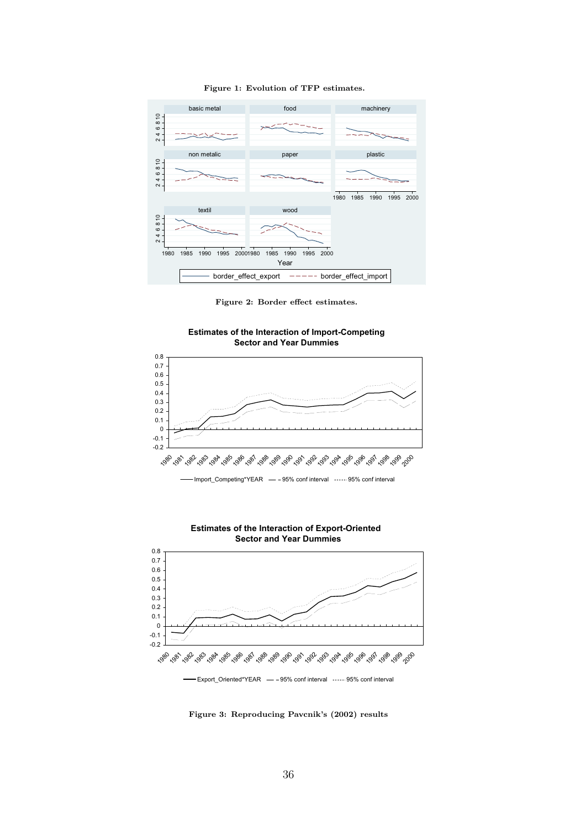

Figure 1: Evolution of TFP estimates.

Figure 2: Border effect estimates.





**Estimates of the Interaction of Export-Oriented Sector and Year Dummies**



-Export\_Oriented\*YEAR - - 95% conf interval ------95% conf interval

Figure 3: Reproducing Pavcnik's (2002) results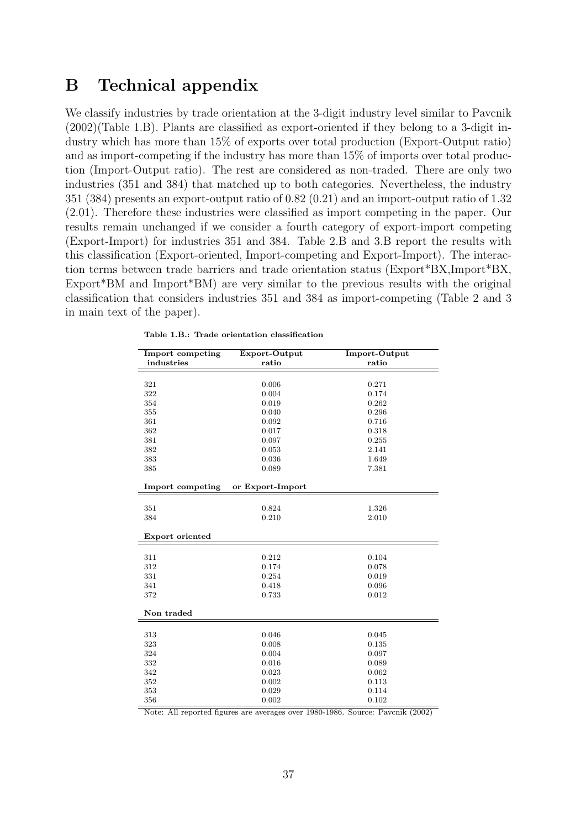# B Technical appendix

We classify industries by trade orientation at the 3-digit industry level similar to Pavcnik (2002)(Table 1.B). Plants are classified as export-oriented if they belong to a 3-digit industry which has more than 15% of exports over total production (Export-Output ratio) and as import-competing if the industry has more than 15% of imports over total production (Import-Output ratio). The rest are considered as non-traded. There are only two industries (351 and 384) that matched up to both categories. Nevertheless, the industry 351 (384) presents an export-output ratio of 0.82 (0.21) and an import-output ratio of 1.32 (2.01). Therefore these industries were classified as import competing in the paper. Our results remain unchanged if we consider a fourth category of export-import competing (Export-Import) for industries 351 and 384. Table 2.B and 3.B report the results with this classification (Export-oriented, Import-competing and Export-Import). The interaction terms between trade barriers and trade orientation status (Export\*BX,Import\*BX, Export\*BM and Import\*BM) are very similar to the previous results with the original classification that considers industries 351 and 384 as import-competing (Table 2 and 3 in main text of the paper).

| Import competing | Export-Output    | Import-Output |
|------------------|------------------|---------------|
| industries       | ratio            | ratio         |
|                  |                  |               |
| 321              | 0.006            | 0.271         |
| 322              | 0.004            | 0.174         |
| 354              | 0.019            | 0.262         |
| 355              | 0.040            | 0.296         |
| 361              | 0.092            | 0.716         |
| 362              | 0.017            | 0.318         |
| 381              | 0.097            | 0.255         |
| 382              | 0.053            | 2.141         |
| 383              | 0.036            | 1.649         |
| 385              | 0.089            | 7.381         |
|                  |                  |               |
| Import competing | or Export-Import |               |
|                  |                  |               |
| 351              | 0.824            | 1.326         |
| 384              | 0.210            | 2.010         |
| Export oriented  |                  |               |
|                  |                  |               |
| 311              | 0.212            | 0.104         |
| 312              | 0.174            | 0.078         |
| 331              | $\,0.254\,$      | 0.019         |
| 341              | 0.418            | 0.096         |
| 372              | 0.733            | 0.012         |
| Non traded       |                  |               |
|                  |                  |               |
| 313              | 0.046            | 0.045         |
| 323              | 0.008            | 0.135         |
| 324              | 0.004            | 0.097         |
| 332              | 0.016            | 0.089         |
| 342              | 0.023            | 0.062         |
| 352              | 0.002            | 0.113         |
| 353              | 0.029            | 0.114         |
| 356              | 0.002            | 0.102         |

Table 1.B.: Trade orientation classification

Note: All reported figures are averages over 1980-1986. Source: Pavcnik (2002)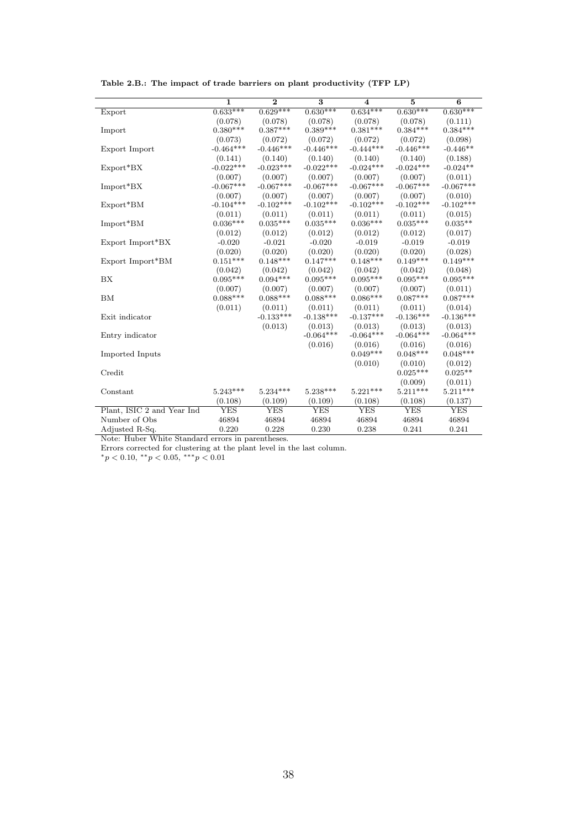|                            | $\overline{1}$ | $\overline{2}$ | $\overline{\mathbf{3}}$ | $\overline{\mathbf{4}}$ | $\overline{5}$ | 6           |
|----------------------------|----------------|----------------|-------------------------|-------------------------|----------------|-------------|
| Export                     | $0.633***$     | $0.629***$     | $0.630***$              | $0.634***$              | $0.630***$     | $0.630***$  |
|                            | (0.078)        | (0.078)        | (0.078)                 | (0.078)                 | (0.078)        | (0.111)     |
| Import                     | $0.380***$     | $0.387***$     | $0.389***$              | $0.381***$              | $0.384***$     | $0.384***$  |
|                            | (0.073)        | (0.072)        | (0.072)                 | (0.072)                 | (0.072)        | (0.098)     |
| Export Import              | $-0.464***$    | $-0.446***$    | $-0.446***$             | $-0.444***$             | $-0.446***$    | $-0.446**$  |
|                            | (0.141)        | (0.140)        | (0.140)                 | (0.140)                 | (0.140)        | (0.188)     |
| $Export*BX$                | $-0.022***$    | $-0.023***$    | $-0.022***$             | $-0.024***$             | $-0.024***$    | $-0.024**$  |
|                            | (0.007)        | (0.007)        | (0.007)                 | (0.007)                 | (0.007)        | (0.011)     |
| Import*BX                  | $-0.067***$    | $-0.067***$    | $-0.067***$             | $-0.067***$             | $-0.067***$    | $-0.067***$ |
|                            | (0.007)        | (0.007)        | (0.007)                 | (0.007)                 | (0.007)        | (0.010)     |
| $Export*BM$                | $-0.104***$    | $-0.102***$    | $-0.102***$             | $-0.102***$             | $-0.102***$    | $-0.102***$ |
|                            | (0.011)        | (0.011)        | (0.011)                 | (0.011)                 | (0.011)        | (0.015)     |
| $Import^*BM$               | $0.036***$     | $0.035***$     | $0.035***$              | $0.036***$              | $0.035***$     | $0.035**$   |
|                            | (0.012)        | (0.012)        | (0.012)                 | (0.012)                 | (0.012)        | (0.017)     |
| Export Import*BX           | $-0.020$       | $-0.021$       | $-0.020$                | $-0.019$                | $-0.019$       | $-0.019$    |
|                            | (0.020)        | (0.020)        | (0.020)                 | (0.020)                 | (0.020)        | (0.028)     |
| Export Import*BM           | $0.151***$     | $0.148***$     | $0.147***$              | $0.148***$              | $0.149***$     | $0.149***$  |
|                            | (0.042)        | (0.042)        | (0.042)                 | (0.042)                 | (0.042)        | (0.048)     |
| BX                         | $0.095***$     | $0.094***$     | $0.095***$              | $0.095***$              | $0.095***$     | $0.095***$  |
|                            | (0.007)        | (0.007)        | (0.007)                 | (0.007)                 | (0.007)        | (0.011)     |
| <b>BM</b>                  | $0.088***$     | $0.088***$     | $0.088***$              | $0.086***$              | $0.087***$     | $0.087***$  |
|                            | (0.011)        | (0.011)        | (0.011)                 | (0.011)                 | (0.011)        | (0.014)     |
| Exit indicator             |                | $-0.133***$    | $-0.138***$             | $-0.137***$             | $-0.136***$    | $-0.136***$ |
|                            |                | (0.013)        | (0.013)                 | (0.013)                 | (0.013)        | (0.013)     |
| Entry indicator            |                |                | $-0.064***$             | $-0.064***$             | $-0.064***$    | $-0.064***$ |
|                            |                |                | (0.016)                 | (0.016)                 | (0.016)        | (0.016)     |
| Imported Inputs            |                |                |                         | $0.049***$              | $0.048***$     | $0.048***$  |
|                            |                |                |                         | (0.010)                 | (0.010)        | (0.012)     |
| Credit                     |                |                |                         |                         | $0.025***$     | $0.025**$   |
|                            |                |                |                         |                         | (0.009)        | (0.011)     |
| Constant                   | $5.243***$     | $5.234***$     | $5.238***$              | $5.221***$              | $5.211***$     | $5.211***$  |
|                            | (0.108)        | (0.109)        | (0.109)                 | (0.108)                 | (0.108)        | (0.137)     |
| Plant, ISIC 2 and Year Ind | <b>YES</b>     | <b>YES</b>     | YES                     | YES                     | <b>YES</b>     | <b>YES</b>  |
| Number of Obs              | 46894          | 46894          | 46894                   | 46894                   | 46894          | 46894       |
| Adjusted R-Sq.             | 0.220          | 0.228          | 0.230                   | 0.238                   | 0.241          | 0.241       |

Table 2.B.: The impact of trade barriers on plant productivity (TFP LP)

Note: Huber White Standard errors in parentheses.

Errors corrected for clustering at the plant level in the last column.

 $*_p$  < 0.10,  $*_p$  < 0.05,  $**_p$  < 0.01